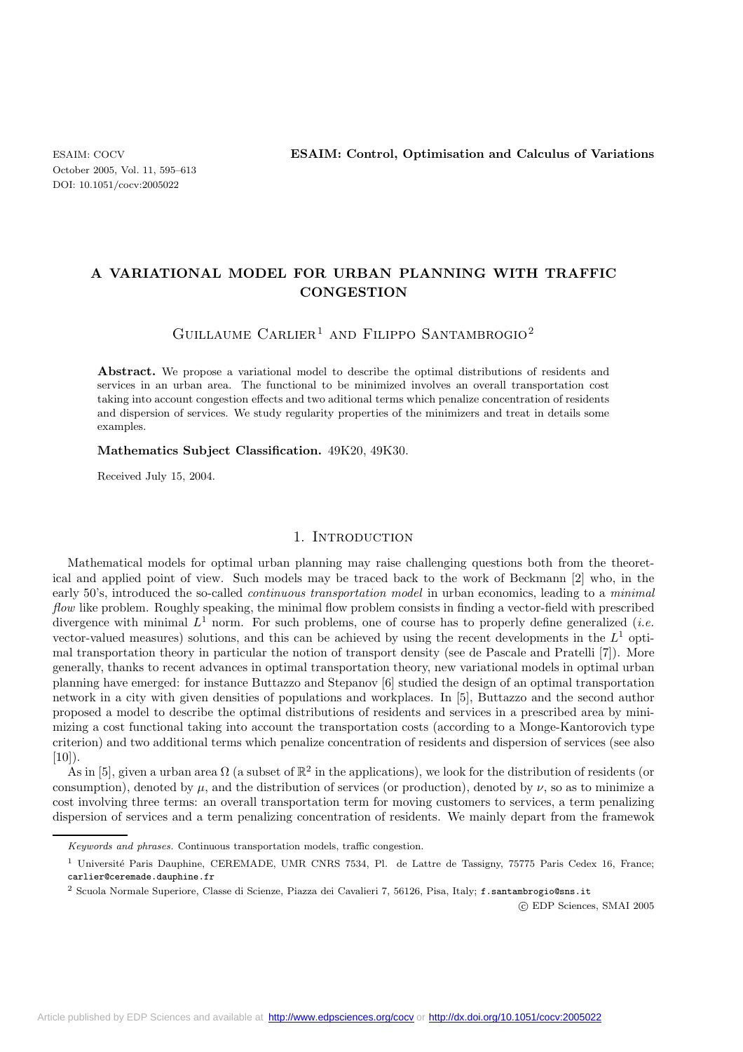# **A VARIATIONAL MODEL FOR URBAN PLANNING WITH TRAFFIC CONGESTION**

## GUILLAUME CARLIER<sup>1</sup> AND FILIPPO SANTAMBROGIO<sup>2</sup>

Abstract. We propose a variational model to describe the optimal distributions of residents and services in an urban area. The functional to be minimized involves an overall transportation cost taking into account congestion effects and two aditional terms which penalize concentration of residents and dispersion of services. We study regularity properties of the minimizers and treat in details some examples.

### **Mathematics Subject Classification.** 49K20, 49K30.

Received July 15, 2004.

### 1. INTRODUCTION

Mathematical models for optimal urban planning may raise challenging questions both from the theoretical and applied point of view. Such models may be traced back to the work of Beckmann [2] who, in the early 50's, introduced the so-called *continuous transportation model* in urban economics, leading to a *minimal flow* like problem. Roughly speaking, the minimal flow problem consists in finding a vector-field with prescribed divergence with minimal  $L^1$  norm. For such problems, one of course has to properly define generalized (*i.e.* vector-valued measures) solutions, and this can be achieved by using the recent developments in the  $L<sup>1</sup>$  optimal transportation theory in particular the notion of transport density (see de Pascale and Pratelli [7]). More generally, thanks to recent advances in optimal transportation theory, new variational models in optimal urban planning have emerged: for instance Buttazzo and Stepanov [6] studied the design of an optimal transportation network in a city with given densities of populations and workplaces. In [5], Buttazzo and the second author proposed a model to describe the optimal distributions of residents and services in a prescribed area by minimizing a cost functional taking into account the transportation costs (according to a Monge-Kantorovich type criterion) and two additional terms which penalize concentration of residents and dispersion of services (see also  $[10]$ .

As in [5], given a urban area  $\Omega$  (a subset of  $\mathbb{R}^2$  in the applications), we look for the distribution of residents (or consumption), denoted by  $\mu$ , and the distribution of services (or production), denoted by  $\nu$ , so as to minimize a cost involving three terms: an overall transportation term for moving customers to services, a term penalizing dispersion of services and a term penalizing concentration of residents. We mainly depart from the framewok

 $\odot$  EDP Sciences, SMAI 2005

Keywords and phrases. Continuous transportation models, traffic congestion.

<sup>&</sup>lt;sup>1</sup> Université Paris Dauphine, CEREMADE, UMR CNRS 7534, Pl. de Lattre de Tassigny, 75775 Paris Cedex 16, France; carlier@ceremade.dauphine.fr

<sup>&</sup>lt;sup>2</sup> Scuola Normale Superiore, Classe di Scienze, Piazza dei Cavalieri 7, 56126, Pisa, Italy; f.santambrogio@sns.it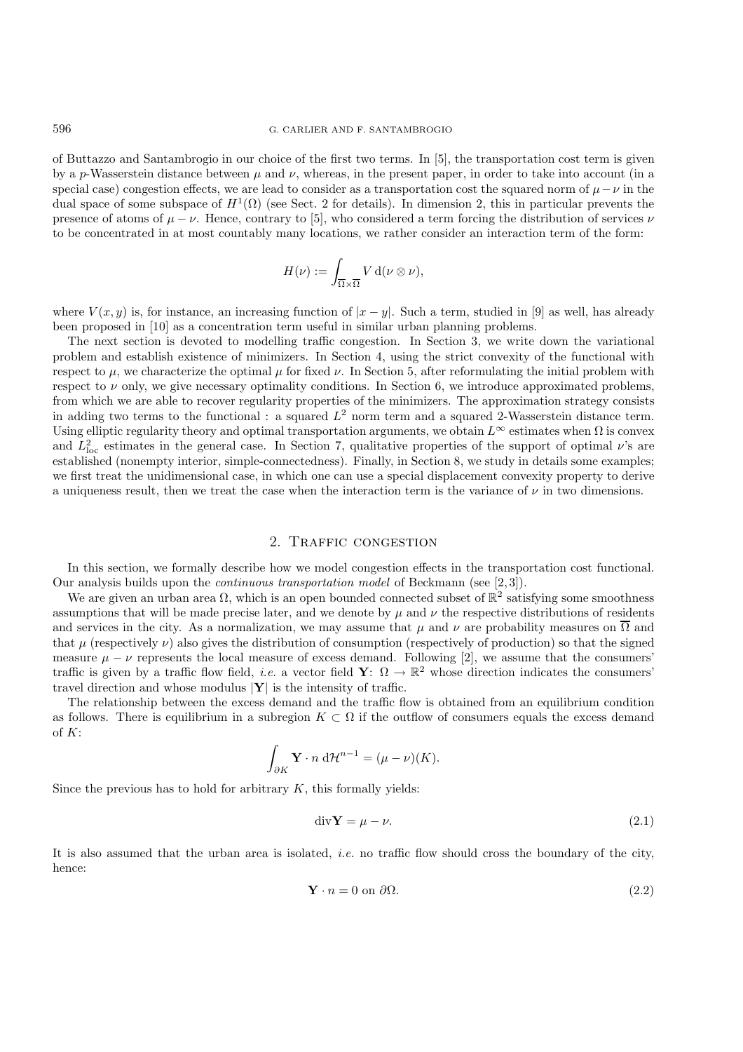of Buttazzo and Santambrogio in our choice of the first two terms. In [5], the transportation cost term is given by a p-Wasserstein distance between  $\mu$  and  $\nu$ , whereas, in the present paper, in order to take into account (in a special case) congestion effects, we are lead to consider as a transportation cost the squared norm of  $\mu - \nu$  in the dual space of some subspace of  $H^1(\Omega)$  (see Sect. 2 for details). In dimension 2, this in particular prevents the presence of atoms of  $\mu - \nu$ . Hence, contrary to [5], who considered a term forcing the distribution of services  $\nu$ to be concentrated in at most countably many locations, we rather consider an interaction term of the form:

$$
H(\nu) := \int_{\overline{\Omega} \times \overline{\Omega}} V \, \mathrm{d}(\nu \otimes \nu),
$$

where  $V(x, y)$  is, for instance, an increasing function of  $|x - y|$ . Such a term, studied in [9] as well, has already been proposed in [10] as a concentration term useful in similar urban planning problems.

The next section is devoted to modelling traffic congestion. In Section 3, we write down the variational problem and establish existence of minimizers. In Section 4, using the strict convexity of the functional with respect to  $\mu$ , we characterize the optimal  $\mu$  for fixed  $\nu$ . In Section 5, after reformulating the initial problem with respect to  $\nu$  only, we give necessary optimality conditions. In Section 6, we introduce approximated problems, from which we are able to recover regularity properties of the minimizers. The approximation strategy consists in adding two terms to the functional : a squared  $L^2$  norm term and a squared 2-Wasserstein distance term. Using elliptic regularity theory and optimal transportation arguments, we obtain  $L^{\infty}$  estimates when  $\Omega$  is convex and  $L^2_{\text{loc}}$  estimates in the general case. In Section 7, qualitative properties of the support of optimal  $\nu$ 's are established (nonempty interior, simple-connectedness). Finally, in Section 8, we study in details some examples; we first treat the unidimensional case, in which one can use a special displacement convexity property to derive a uniqueness result, then we treat the case when the interaction term is the variance of  $\nu$  in two dimensions.

### 2. Traffic congestion

In this section, we formally describe how we model congestion effects in the transportation cost functional. Our analysis builds upon the *continuous transportation model* of Beckmann (see [2, 3]).

We are given an urban area  $\Omega$ , which is an open bounded connected subset of  $\mathbb{R}^2$  satisfying some smoothness assumptions that will be made precise later, and we denote by  $\mu$  and  $\nu$  the respective distributions of residents and services in the city. As a normalization, we may assume that  $\mu$  and  $\nu$  are probability measures on  $\overline{\Omega}$  and that  $\mu$  (respectively  $\nu$ ) also gives the distribution of consumption (respectively of production) so that the signed measure  $\mu - \nu$  represents the local measure of excess demand. Following [2], we assume that the consumers' traffic is given by a traffic flow field, *i.e.* a vector field **Y**:  $\Omega \to \mathbb{R}^2$  whose direction indicates the consumers' travel direction and whose modulus |**Y**| is the intensity of traffic.

The relationship between the excess demand and the traffic flow is obtained from an equilibrium condition as follows. There is equilibrium in a subregion  $K \subset \Omega$  if the outflow of consumers equals the excess demand of K:

$$
\int_{\partial K} \mathbf{Y} \cdot n \, d\mathcal{H}^{n-1} = (\mu - \nu)(K).
$$

Since the previous has to hold for arbitrary  $K$ , this formally yields:

$$
\text{div}\mathbf{Y} = \mu - \nu. \tag{2.1}
$$

It is also assumed that the urban area is isolated, *i.e.* no traffic flow should cross the boundary of the city, hence:

$$
\mathbf{Y} \cdot n = 0 \text{ on } \partial \Omega. \tag{2.2}
$$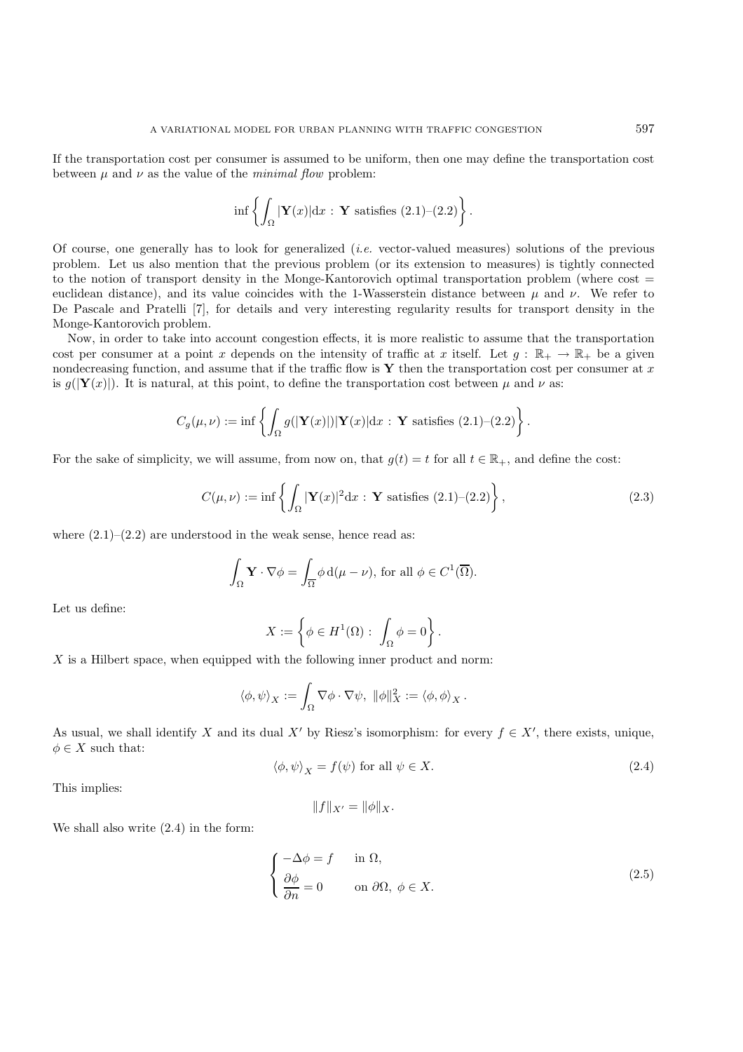If the transportation cost per consumer is assumed to be uniform, then one may define the transportation cost between  $\mu$  and  $\nu$  as the value of the *minimal flow* problem:

$$
\inf \left\{ \int_{\Omega} |\mathbf{Y}(x)| \mathrm{d}x : \mathbf{Y} \text{ satisfies (2.1)}-(2.2) \right\}.
$$

Of course, one generally has to look for generalized (*i.e.* vector-valued measures) solutions of the previous problem. Let us also mention that the previous problem (or its extension to measures) is tightly connected to the notion of transport density in the Monge-Kantorovich optimal transportation problem (where cost = euclidean distance), and its value coincides with the 1-Wasserstein distance between  $\mu$  and  $\nu$ . We refer to De Pascale and Pratelli [7], for details and very interesting regularity results for transport density in the Monge-Kantorovich problem.

Now, in order to take into account congestion effects, it is more realistic to assume that the transportation cost per consumer at a point x depends on the intensity of traffic at x itself. Let  $g : \mathbb{R}_+ \to \mathbb{R}_+$  be a given nondecreasing function, and assume that if the traffic flow is **Y** then the transportation cost per consumer at x is  $g(|\mathbf{Y}(x)|)$ . It is natural, at this point, to define the transportation cost between  $\mu$  and  $\nu$  as:

$$
C_g(\mu,\nu) := \inf \left\{ \int_{\Omega} g(|\mathbf{Y}(x)|) |\mathbf{Y}(x)| dx : \mathbf{Y} \text{ satisfies (2.1)-(2.2)} \right\}.
$$

For the sake of simplicity, we will assume, from now on, that  $q(t) = t$  for all  $t \in \mathbb{R}_+$ , and define the cost:

$$
C(\mu, \nu) := \inf \left\{ \int_{\Omega} |\mathbf{Y}(x)|^2 dx : \mathbf{Y} \text{ satisfies (2.1)}-(2.2) \right\},\tag{2.3}
$$

where  $(2.1)$ – $(2.2)$  are understood in the weak sense, hence read as:

$$
\int_{\Omega} \mathbf{Y} \cdot \nabla \phi = \int_{\overline{\Omega}} \phi \, d(\mu - \nu), \text{ for all } \phi \in C^1(\overline{\Omega}).
$$

Let us define:

$$
X:=\left\{\phi\in H^1(\Omega):\ \int_\Omega\phi=0\right\}.
$$

X is a Hilbert space, when equipped with the following inner product and norm:

$$
\langle \phi, \psi \rangle_X := \int_{\Omega} \nabla \phi \cdot \nabla \psi, \ \|\phi\|_X^2 := \langle \phi, \phi \rangle_X.
$$

As usual, we shall identify X and its dual X' by Riesz's isomorphism: for every  $f \in X'$ , there exists, unique,  $\phi \in X$  such that:

$$
\langle \phi, \psi \rangle_X = f(\psi) \text{ for all } \psi \in X. \tag{2.4}
$$

This implies:

$$
||f||_{X'} = ||\phi||_X.
$$

We shall also write  $(2.4)$  in the form:

$$
\begin{cases}\n-\Delta \phi = f & \text{in } \Omega, \\
\frac{\partial \phi}{\partial n} = 0 & \text{on } \partial \Omega, \ \phi \in X.\n\end{cases}
$$
\n(2.5)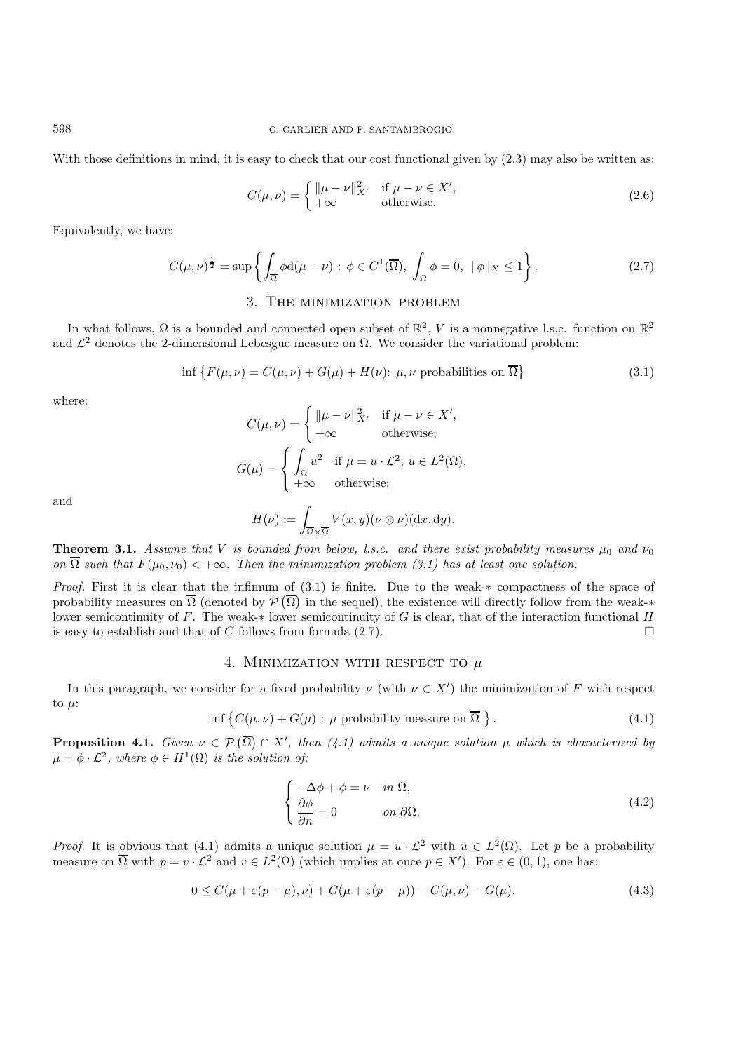With those definitions in mind, it is easy to check that our cost functional given by  $(2.3)$  may also be written as:

$$
C(\mu, \nu) = \begin{cases} \|\mu - \nu\|_{X'}^2 & \text{if } \mu - \nu \in X',\\ +\infty & \text{otherwise.} \end{cases}
$$
 (2.6)

Equivalently, we have:

$$
C(\mu,\nu)^{\frac{1}{2}} = \sup \left\{ \int_{\overline{\Omega}} \phi \mathrm{d}(\mu - \nu) : \phi \in C^1(\overline{\Omega}), \int_{\Omega} \phi = 0, \ \|\phi\|_X \le 1 \right\}.
$$
 (2.7)

## 3. The minimization problem

In what follows,  $\Omega$  is a bounded and connected open subset of  $\mathbb{R}^2$ , V is a nonnegative l.s.c. function on  $\mathbb{R}^2$ and  $\mathcal{L}^2$  denotes the 2-dimensional Lebesgue measure on  $\Omega$ . We consider the variational problem:

$$
\inf \{ F(\mu, \nu) = C(\mu, \nu) + G(\mu) + H(\nu): \mu, \nu \text{ probabilities on } \overline{\Omega} \}
$$
\n(3.1)

where:

$$
C(\mu, \nu) = \begin{cases} \|\mu - \nu\|_{X'}^2 & \text{if } \mu - \nu \in X', \\ +\infty & \text{otherwise}; \end{cases}
$$

$$
G(\mu) = \begin{cases} \int_{\Omega} u^2 & \text{if } \mu = u \cdot \mathcal{L}^2, u \in L^2(\Omega), \\ +\infty & \text{otherwise}; \end{cases}
$$

and

$$
H(\nu) := \int_{\overline{\Omega} \times \overline{\Omega}} V(x, y)(\nu \otimes \nu)(\mathrm{d}x, \mathrm{d}y).
$$

**Theorem 3.1.** *Assume that* V *is bounded from below, l.s.c. and there exist probability measures*  $\mu_0$  *and*  $\nu_0$ *on*  $\overline{\Omega}$  *such that*  $F(\mu_0, \nu_0) < +\infty$ *. Then the minimization problem (3.1) has at least one solution.* 

*Proof.* First it is clear that the infimum of (3.1) is finite. Due to the weak- $*$  compactness of the space of probability measures on  $\overline{\Omega}$  (denoted by  $\mathcal{P}(\overline{\Omega})$  in the sequel), the existence will directly follow from the weak-\* lower semicontinuity of F. The weak-∗ lower semicontinuity of G is clear, that of the interaction functional H is easy to establish and that of C follows from formula  $(2.7)$ .

## 4. Minimization with respect to *µ*

In this paragraph, we consider for a fixed probability  $\nu$  (with  $\nu \in X'$ ) the minimization of F with respect to  $\mu$ :

$$
\inf \left\{ C(\mu, \nu) + G(\mu) : \mu \text{ probability measure on } \overline{\Omega} \right\}. \tag{4.1}
$$

**Proposition 4.1.** *Given*  $\nu \in \mathcal{P}(\overline{\Omega}) \cap X'$ , then (4.1) admits a unique solution  $\mu$  which is characterized by  $\mu = \phi \cdot \mathcal{L}^2$ , where  $\phi \in H^1(\Omega)$  *is the solution of:* 

$$
\begin{cases}\n-\Delta \phi + \phi = \nu & \text{in } \Omega, \\
\frac{\partial \phi}{\partial n} = 0 & \text{on } \partial \Omega.\n\end{cases}
$$
\n(4.2)

*Proof.* It is obvious that (4.1) admits a unique solution  $\mu = u \cdot \mathcal{L}^2$  with  $u \in L^2(\Omega)$ . Let p be a probability measure on  $\overline{\Omega}$  with  $p = v \cdot \mathcal{L}^2$  and  $v \in L^2(\Omega)$  (which implies at once  $p \in X'$ ). For  $\varepsilon \in (0,1)$ , one has:

$$
0 \le C(\mu + \varepsilon(p - \mu), \nu) + G(\mu + \varepsilon(p - \mu)) - C(\mu, \nu) - G(\mu). \tag{4.3}
$$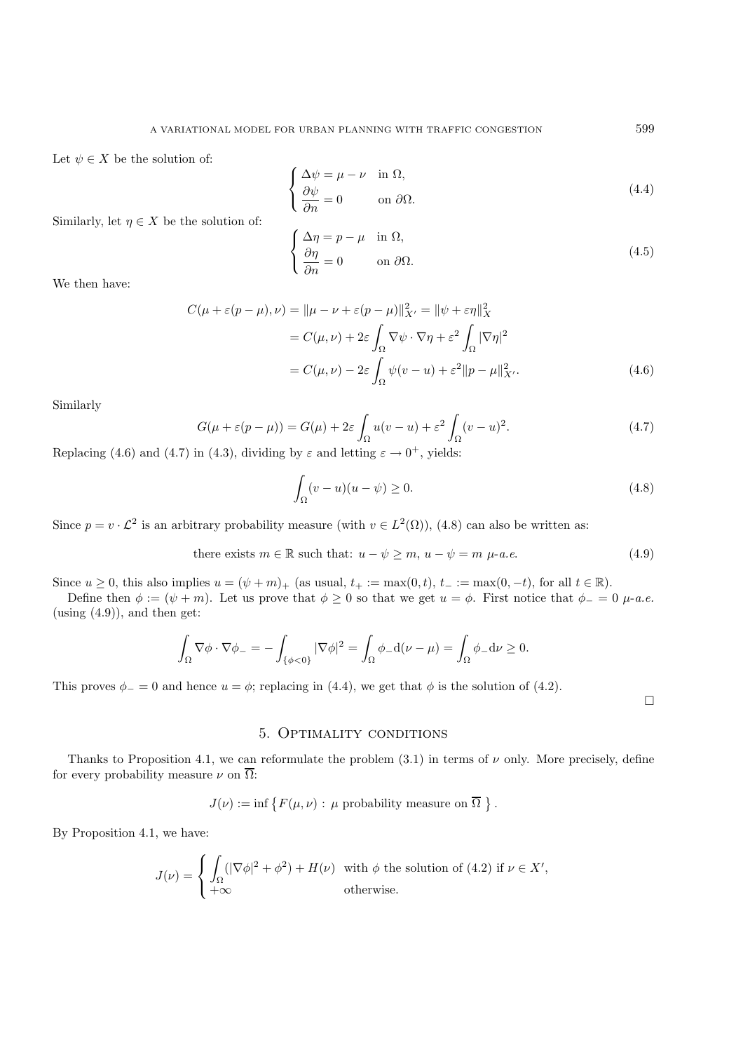Let  $\psi \in X$  be the solution of:

$$
\begin{cases}\n\Delta \psi = \mu - \nu & \text{in } \Omega, \\
\frac{\partial \psi}{\partial n} = 0 & \text{on } \partial \Omega.\n\end{cases}
$$
\n(4.4)

Similarly, let  $\eta \in X$  be the solution of:

$$
\begin{cases}\n\Delta \eta = p - \mu & \text{in } \Omega, \\
\frac{\partial \eta}{\partial n} = 0 & \text{on } \partial \Omega.\n\end{cases}
$$
\n(4.5)

We then have:

$$
C(\mu + \varepsilon(p - \mu), \nu) = \|\mu - \nu + \varepsilon(p - \mu)\|_{X'}^2 = \|\psi + \varepsilon\eta\|_X^2
$$
  
=  $C(\mu, \nu) + 2\varepsilon \int_{\Omega} \nabla \psi \cdot \nabla \eta + \varepsilon^2 \int_{\Omega} |\nabla \eta|^2$   
=  $C(\mu, \nu) - 2\varepsilon \int_{\Omega} \psi(v - u) + \varepsilon^2 \|p - \mu\|_{X'}^2.$  (4.6)

Similarly

$$
G(\mu + \varepsilon(p - \mu)) = G(\mu) + 2\varepsilon \int_{\Omega} u(v - u) + \varepsilon^2 \int_{\Omega} (v - u)^2.
$$
 (4.7)

Replacing (4.6) and (4.7) in (4.3), dividing by  $\varepsilon$  and letting  $\varepsilon \to 0^+$ , yields:

$$
\int_{\Omega} (v - u)(u - \psi) \ge 0. \tag{4.8}
$$

Since  $p = v \cdot \mathcal{L}^2$  is an arbitrary probability measure (with  $v \in L^2(\Omega)$ ), (4.8) can also be written as:

there exists 
$$
m \in \mathbb{R}
$$
 such that:  $u - \psi \ge m$ ,  $u - \psi = m \mu$ -a.e. 
$$
(4.9)
$$

Since  $u \ge 0$ , this also implies  $u = (\psi + m)_+$  (as usual,  $t_+ := \max(0, t)$ ,  $t_- := \max(0, -t)$ , for all  $t \in \mathbb{R}$ ).

Define then  $\phi := (\psi + m)$ . Let us prove that  $\phi \geq 0$  so that we get  $u = \phi$ . First notice that  $\phi = 0$   $\mu$ -*a.e.* (using  $(4.9)$ ), and then get:

$$
\int_{\Omega} \nabla \phi \cdot \nabla \phi_{-} = -\int_{\{\phi < 0\}} |\nabla \phi|^{2} = \int_{\Omega} \phi_{-} d(\nu - \mu) = \int_{\Omega} \phi_{-} d\nu \ge 0.
$$

This proves  $\phi_0 = 0$  and hence  $u = \phi$ ; replacing in (4.4), we get that  $\phi$  is the solution of (4.2).

 $\Box$ 

### 5. Optimality conditions

Thanks to Proposition 4.1, we can reformulate the problem  $(3.1)$  in terms of  $\nu$  only. More precisely, define for every probability measure  $\nu$  on  $\overline{\Omega}$ :

$$
J(\nu) := \inf \{ F(\mu, \nu) : \mu \text{ probability measure on } \overline{\Omega} \}.
$$

By Proposition 4.1, we have:

$$
J(\nu) = \begin{cases} \int_{\Omega} (|\nabla \phi|^2 + \phi^2) + H(\nu) & \text{with } \phi \text{ the solution of (4.2) if } \nu \in X', \\ +\infty & \text{otherwise.} \end{cases}
$$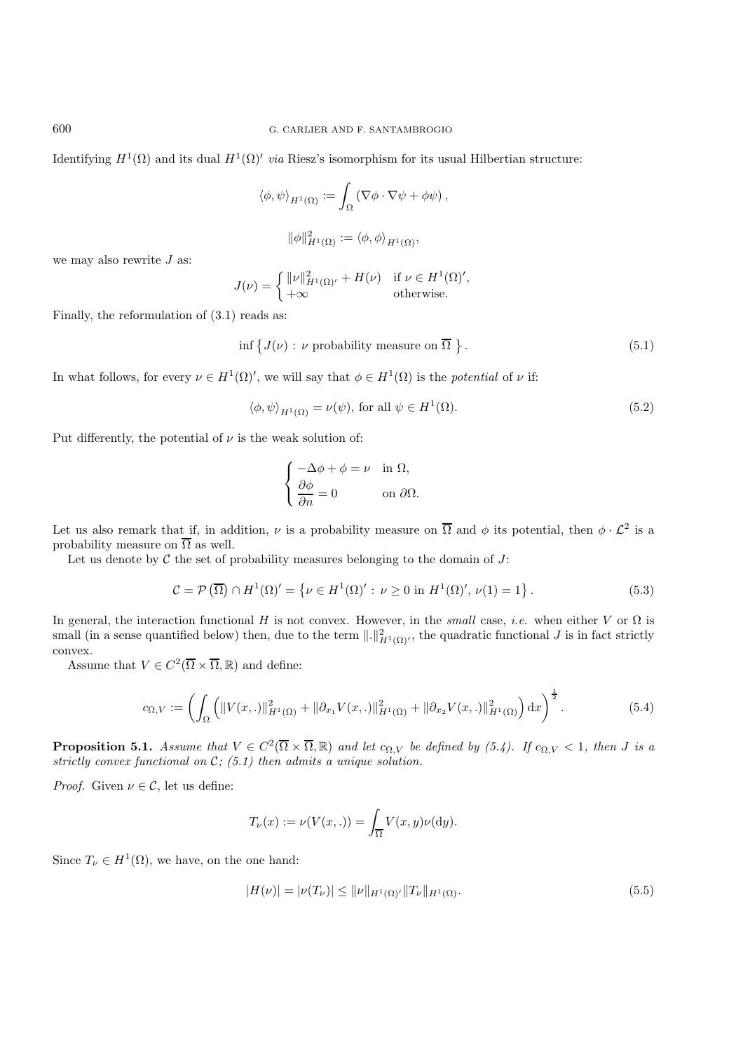Identifying  $H^1(\Omega)$  and its dual  $H^1(\Omega)'$  *via* Riesz's isomorphism for its usual Hilbertian structure:

$$
\langle \phi, \psi \rangle_{H^1(\Omega)} := \int_{\Omega} (\nabla \phi \cdot \nabla \psi + \phi \psi),
$$

$$
\|\phi\|_{H^1(\Omega)}^2 := \langle \phi, \phi \rangle_{H^1(\Omega)},
$$

we may also rewrite 
$$
J
$$
 as:

$$
J(\nu) = \begin{cases} ||\nu||_{H^1(\Omega)'}^2 + H(\nu) & \text{if } \nu \in H^1(\Omega)' \\ +\infty & \text{otherwise.} \end{cases}
$$

Finally, the reformulation of (3.1) reads as:

$$
\inf \{ J(\nu) : \nu \text{ probability measure on } \overline{\Omega} \}.
$$
\n(5.1)

,

In what follows, for every  $\nu \in H^1(\Omega)'$ , we will say that  $\phi \in H^1(\Omega)$  is the *potential* of  $\nu$  if:

$$
\langle \phi, \psi \rangle_{H^1(\Omega)} = \nu(\psi), \text{ for all } \psi \in H^1(\Omega). \tag{5.2}
$$

Put differently, the potential of  $\nu$  is the weak solution of:

$$
\begin{cases}\n-\Delta \phi + \phi = \nu & \text{in } \Omega, \\
\frac{\partial \phi}{\partial n} = 0 & \text{on } \partial \Omega.\n\end{cases}
$$

Let us also remark that if, in addition,  $\nu$  is a probability measure on  $\overline{\Omega}$  and  $\phi$  its potential, then  $\phi \cdot \mathcal{L}^2$  is a probability measure on  $\overline{\Omega}$  as well.

Let us denote by  $\mathcal C$  the set of probability measures belonging to the domain of  $J$ :

$$
\mathcal{C} = \mathcal{P}\left(\overline{\Omega}\right) \cap H^{1}(\Omega)' = \left\{\nu \in H^{1}(\Omega)': \nu \ge 0 \text{ in } H^{1}(\Omega)', \nu(1) = 1\right\}.
$$
\n
$$
(5.3)
$$

In general, the interaction functional H is not convex. However, in the *small* case, *i.e.* when either V or  $\Omega$  is small (in a sense quantified below) then, due to the term  $\lVert \cdot \rVert_{H^1(\Omega)}^2$ , the quadratic functional  $J$  is in fact strictly convex.

Assume that  $V \in C^2(\overline{\Omega} \times \overline{\Omega}, \mathbb{R})$  and define:

$$
c_{\Omega,V} := \left( \int_{\Omega} \left( \|V(x,.)\|_{H^1(\Omega)}^2 + \|\partial_{x_1} V(x,.)\|_{H^1(\Omega)}^2 + \|\partial_{x_2} V(x,.)\|_{H^1(\Omega)}^2 \right) dx \right)^{\frac{1}{2}}.
$$
 (5.4)

**Proposition 5.1.** *Assume that*  $V \in C^2(\overline{\Omega} \times \overline{\Omega}, \mathbb{R})$  *and let*  $c_{\Omega V}$  *be defined by (5.4). If*  $c_{\Omega V} < 1$ *, then J is a strictly convex functional on* C*; (5.1) then admits a unique solution.*

*Proof.* Given  $\nu \in \mathcal{C}$ , let us define:

$$
T_{\nu}(x) := \nu(V(x, .)) = \int_{\overline{\Omega}} V(x, y)\nu(\mathrm{d}y).
$$

Since  $T_{\nu} \in H^1(\Omega)$ , we have, on the one hand:

$$
|H(\nu)| = |\nu(T_{\nu})| \le ||\nu||_{H^1(\Omega)'} ||T_{\nu}||_{H^1(\Omega)}.
$$
\n(5.5)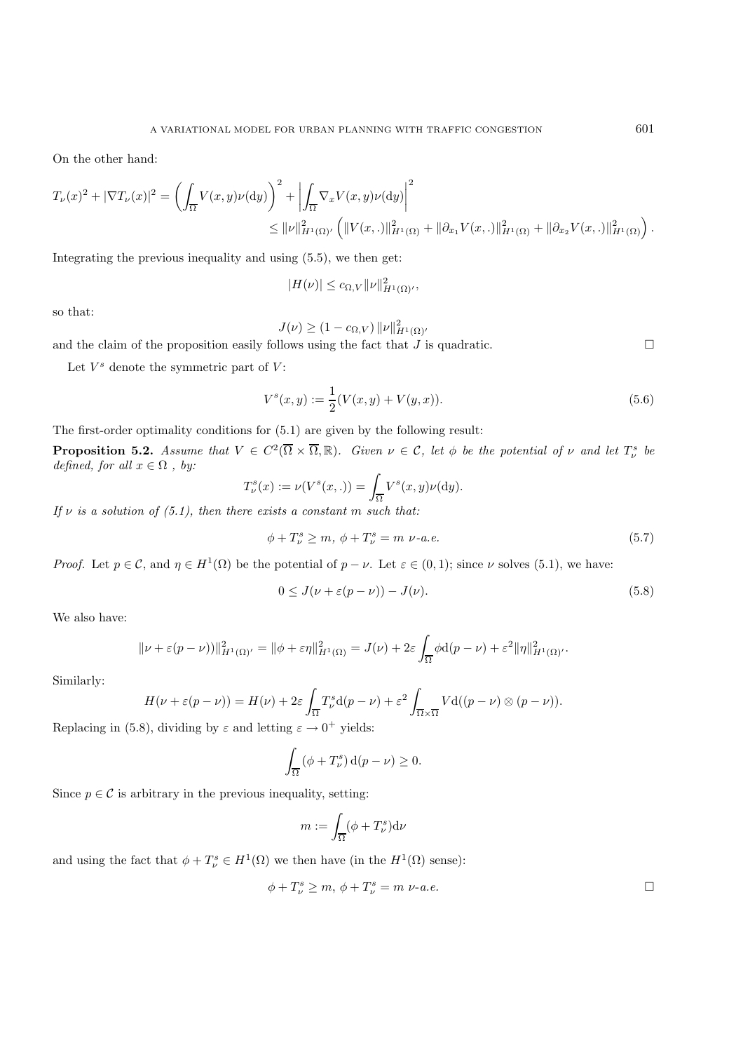On the other hand:

$$
T_{\nu}(x)^{2} + |\nabla T_{\nu}(x)|^{2} = \left(\int_{\overline{\Omega}} V(x, y)\nu(\mathrm{d}y)\right)^{2} + \left|\int_{\overline{\Omega}} \nabla_{x} V(x, y)\nu(\mathrm{d}y)\right|^{2} \leq \|\nu\|_{H^{1}(\Omega)}^{2} \cdot \left(\|V(x, \cdot)\|_{H^{1}(\Omega)}^{2} + \|\partial_{x_{1}}V(x, \cdot)\|_{H^{1}(\Omega)}^{2} + \|\partial_{x_{2}}V(x, \cdot)\|_{H^{1}(\Omega)}^{2}\right).
$$

Integrating the previous inequality and using (5.5), we then get:

$$
|H(\nu)| \leq c_{\Omega,V} ||\nu||_{H^1(\Omega)}^2,
$$

so that:

$$
J(\nu) \ge (1 - c_{\Omega, V}) \|\nu\|_{H^1(\Omega)}^2
$$

 $J(\nu) \ge (1 - c_{\Omega,V}) ||\nu||_{H^1(\Omega)}^2$ <br>and the claim of the proposition easily follows using the fact that  $J$  is quadratic.

Let  $V^s$  denote the symmetric part of  $V$ :

$$
V^{s}(x, y) := \frac{1}{2}(V(x, y) + V(y, x)).
$$
\n(5.6)

The first-order optimality conditions for (5.1) are given by the following result:

**Proposition 5.2.** *Assume that*  $V \in C^2(\overline{\Omega} \times \overline{\Omega}, \mathbb{R})$ *. Given*  $\nu \in \mathcal{C}$ *, let*  $\phi$  *be the potential of*  $\nu$  *and let*  $T_{\nu}^s$  *be beinged for all*  $x \in \Omega$  *by:*  $defined,$   $for$   $\,all$   $x\in\Omega$  ,  $\,by:$ 

$$
T_{\nu}^{s}(x) := \nu(V^{s}(x, .)) = \int_{\overline{\Omega}} V^{s}(x, y)\nu(\mathrm{d}y).
$$

*If*  $\nu$  *is a solution of (5.1), then there exists a constant* m *such that:* 

$$
\phi + T_{\nu}^{s} \ge m, \ \phi + T_{\nu}^{s} = m \ \nu - a.e. \tag{5.7}
$$

*Proof.* Let  $p \in \mathcal{C}$ , and  $\eta \in H^1(\Omega)$  be the potential of  $p - \nu$ . Let  $\varepsilon \in (0,1)$ ; since  $\nu$  solves (5.1), we have:

$$
0 \le J(\nu + \varepsilon(p - \nu)) - J(\nu). \tag{5.8}
$$

We also have:

$$
\|\nu + \varepsilon(p - \nu))\|_{H^1(\Omega)}^2 = \|\phi + \varepsilon\eta\|_{H^1(\Omega)}^2 = J(\nu) + 2\varepsilon \int_{\overline{\Omega}} \phi \mathrm{d}(p - \nu) + \varepsilon^2 \|\eta\|_{H^1(\Omega)}^2.
$$

Similarly:

$$
H(\nu + \varepsilon(p - \nu)) = H(\nu) + 2\varepsilon \int_{\overline{\Omega}} T_{\nu}^s \mathrm{d}(p - \nu) + \varepsilon^2 \int_{\overline{\Omega} \times \overline{\Omega}} V \mathrm{d}((p - \nu) \otimes (p - \nu)).
$$

Replacing in (5.8), dividing by  $\varepsilon$  and letting  $\varepsilon \to 0^+$  yields:

$$
\int_{\overline{\Omega}} \left( \phi + T_{\nu}^{s} \right) d(p - \nu) \ge 0.
$$

Since  $p \in \mathcal{C}$  is arbitrary in the previous inequality, setting:

$$
m := \int_{\overline{\Omega}} (\phi + T_{\nu}^{s}) \mathrm{d}\nu
$$

and using the fact that  $\phi + T_{\nu}^s \in H^1(\Omega)$  we then have (in the  $H^1(\Omega)$  sense):

$$
\phi + T_{\nu}^{s} \ge m, \, \phi + T_{\nu}^{s} = m \, \nu \text{-} a.e. \qquad \Box
$$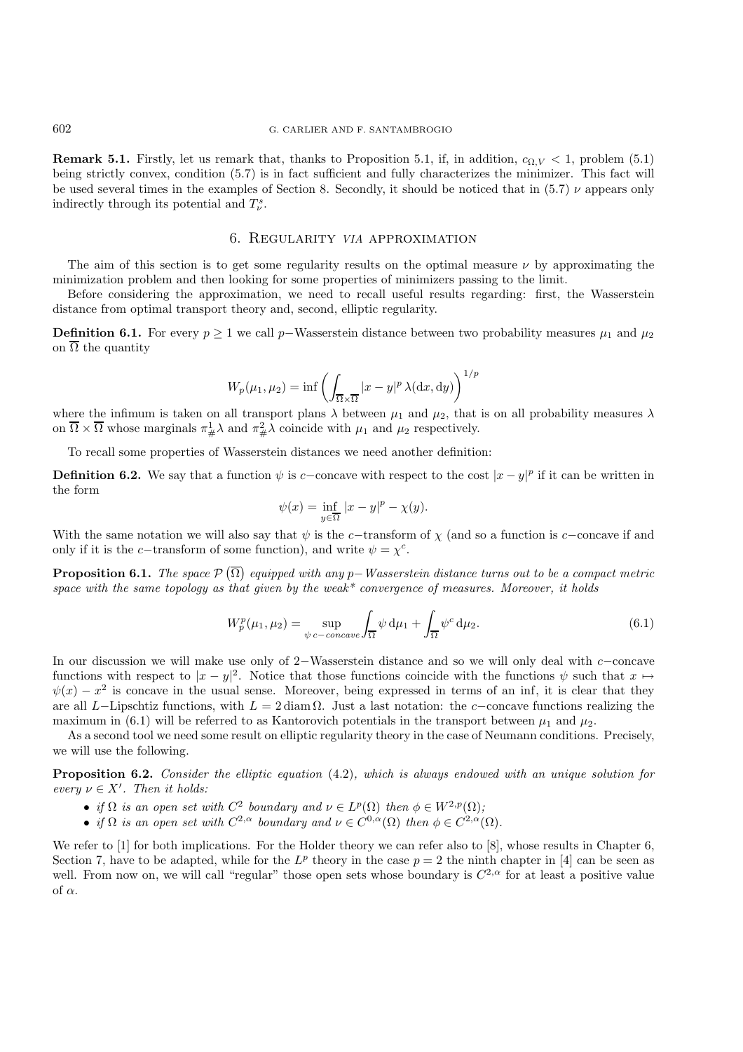**Remark 5.1.** Firstly, let us remark that, thanks to Proposition 5.1, if, in addition,  $c_{\Omega,V} < 1$ , problem (5.1) being strictly convex, condition (5.7) is in fact sufficient and fully characterizes the minimizer. This fact will be used several times in the examples of Section 8. Secondly, it should be noticed that in (5.7)  $\nu$  appears only indirectly through its potential and  $T^s_{\nu}$ .

## 6. Regularity *VIA* approximation

The aim of this section is to get some regularity results on the optimal measure  $\nu$  by approximating the minimization problem and then looking for some properties of minimizers passing to the limit.

Before considering the approximation, we need to recall useful results regarding: first, the Wasserstein distance from optimal transport theory and, second, elliptic regularity.

**Definition 6.1.** For every  $p \ge 1$  we call p–Wasserstein distance between two probability measures  $\mu_1$  and  $\mu_2$ on  $\overline{\Omega}$  the quantity

$$
W_p(\mu_1, \mu_2) = \inf \left( \int_{\overline{\Omega} \times \overline{\Omega}} |x - y|^p \lambda(\mathrm{d}x, \mathrm{d}y) \right)^{1/p}
$$

where the infimum is taken on all transport plans  $\lambda$  between  $\mu_1$  and  $\mu_2$ , that is on all probability measures  $\lambda$ on  $\overline{\Omega} \times \overline{\Omega}$  whose marginals  $\pi^1_{\#}\lambda$  and  $\pi^2_{\#}\lambda$  coincide with  $\mu_1$  and  $\mu_2$  respectively.

To recall some properties of Wasserstein distances we need another definition:

**Definition 6.2.** We say that a function  $\psi$  is c−concave with respect to the cost  $|x - y|^p$  if it can be written in the form

$$
\psi(x) = \inf_{y \in \overline{\Omega}} |x - y|^p - \chi(y).
$$

With the same notation we will also say that  $\psi$  is the c−transform of  $\chi$  (and so a function is c−concave if and only if it is the c−transform of some function), and write  $\psi = \chi^c$ .

**Proposition 6.1.** *The space* P Ω *equipped with any* p−*Wasserstein distance turns out to be a compact metric space with the same topology as that given by the weak\* convergence of measures. Moreover, it holds*

$$
W_p^p(\mu_1, \mu_2) = \sup_{\psi \ c-concave} \int_{\overline{\Omega}} \psi \, \mathrm{d}\mu_1 + \int_{\overline{\Omega}} \psi^c \, \mathrm{d}\mu_2. \tag{6.1}
$$

In our discussion we will make use only of 2−Wasserstein distance and so we will only deal with c−concave functions with respect to  $|x-y|^2$ . Notice that those functions coincide with the functions  $\psi$  such that  $x \mapsto$  $\psi(x) - x^2$  is concave in the usual sense. Moreover, being expressed in terms of an inf, it is clear that they are all L−Lipschtiz functions, with  $L = 2 \text{ diam }\Omega$ . Just a last notation: the c−concave functions realizing the maximum in (6.1) will be referred to as Kantorovich potentials in the transport between  $\mu_1$  and  $\mu_2$ .

As a second tool we need some result on elliptic regularity theory in the case of Neumann conditions. Precisely, we will use the following.

**Proposition 6.2.** *Consider the elliptic equation* (4.2)*, which is always endowed with an unique solution for every*  $\nu \in X'$ . Then it holds:

- *if*  $\Omega$  *is an open set with*  $C^2$  *boundary and*  $\nu \in L^p(\Omega)$  *then*  $\phi \in W^{2,p}(\Omega)$ *;*
- *if*  $\Omega$  *is an open set with*  $C^{2,\alpha}$  *boundary and*  $\nu \in C^{0,\alpha}(\Omega)$  *then*  $\phi \in C^{2,\alpha}(\Omega)$ *.*

We refer to [1] for both implications. For the Holder theory we can refer also to [8], whose results in Chapter 6, Section 7, have to be adapted, while for the  $L^p$  theory in the case  $p = 2$  the ninth chapter in [4] can be seen as well. From now on, we will call "regular" those open sets whose boundary is  $C^{2,\alpha}$  for at least a positive value of  $\alpha$ .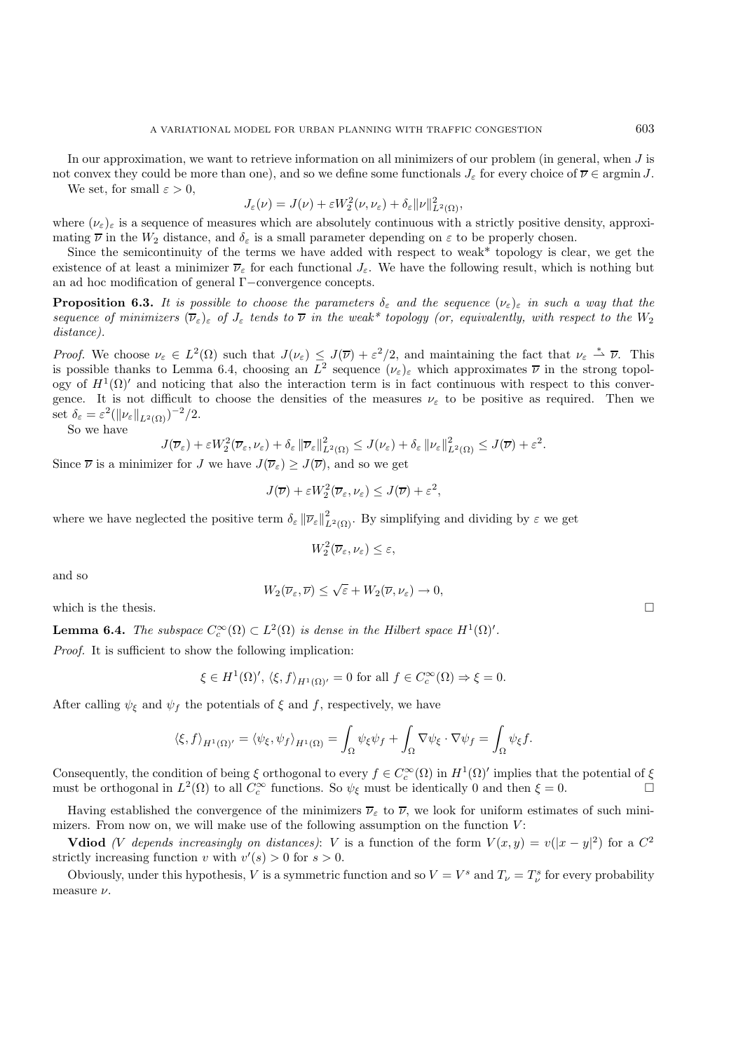In our approximation, we want to retrieve information on all minimizers of our problem (in general, when J is not convex they could be more than one), and so we define some functionals  $J_{\varepsilon}$  for every choice of  $\overline{\nu} \in \operatorname{argmin} J$ . We set, for small  $\varepsilon > 0$ ,

$$
J_{\varepsilon}(\nu) = J(\nu) + \varepsilon W_2^2(\nu, \nu_{\varepsilon}) + \delta_{\varepsilon} ||\nu||_{L^2(\Omega)}^2,
$$

where  $(\nu_{\varepsilon})_{\varepsilon}$  is a sequence of measures which are absolutely continuous with a strictly positive density, approxi-<br>meting  $\overline{\nu}$  in the W distance and  $\delta$  is a small parameter depending on a to be properly cho mating  $\bar{\nu}$  in the  $W_2$  distance, and  $\delta_{\varepsilon}$  is a small parameter depending on  $\varepsilon$  to be properly chosen.

Since the semicontinuity of the terms we have added with respect to weak\* topology is clear, we get the existence of at least a minimizer  $\overline{\nu}_{\varepsilon}$  for each functional  $J_{\varepsilon}$ . We have the following result, which is nothing but an ad hoc modification of general Γ−convergence concepts.

**Proposition 6.3.** *It is possible to choose the parameters*  $\delta_{\varepsilon}$  *and the sequence*  $(\nu_{\varepsilon})_{\varepsilon}$  *in such a way that the sequence of minimizers*  $(\overline{\nu}_{\varepsilon})_{\varepsilon}$  *of*  $J_{\varepsilon}$  *tends to*  $\overline{\nu}$  *in the weak\* topology (or, equivalently, with respect to the*  $W_2$ *distance).*

*Proof.* We choose  $\nu_{\varepsilon} \in L^2(\Omega)$  such that  $J(\nu_{\varepsilon}) \leq J(\overline{\nu}) + \varepsilon^2/2$ , and maintaining the fact that  $\nu_{\varepsilon} \stackrel{*}{\to} \overline{\nu}$ . This is possible thanks to Lemma 6.4, choosing an  $L^2$  sequence  $(\nu_{\varepsilon})_{\varepsilon}$  which approximates  $\overline{\nu}$  in the strong topol-<br>care of  $H^1(\Omega)'$  and poticing that also the interaction term is in fact continuous with perpect ogy of  $H^1(\Omega)'$  and noticing that also the interaction term is in fact continuous with respect to this convergence. It is not difficult to choose the densities of the measures  $\nu_{\varepsilon}$  to be positive as required. Then we set  $\delta_{\varepsilon} = \varepsilon^2 (\|\nu_{\varepsilon}\|_{L^2(\Omega)})^{-2}/2.$ 

So we have

$$
J(\overline{\nu}_{\varepsilon}) + \varepsilon W_2^2(\overline{\nu}_{\varepsilon}, \nu_{\varepsilon}) + \delta_{\varepsilon} \|\overline{\nu}_{\varepsilon}\|_{L^2(\Omega)}^2 \leq J(\nu_{\varepsilon}) + \delta_{\varepsilon} \|\nu_{\varepsilon}\|_{L^2(\Omega)}^2 \leq J(\overline{\nu}) + \varepsilon^2.
$$

Since  $\overline{\nu}$  is a minimizer for J we have  $J(\overline{\nu}_{\varepsilon}) \geq J(\overline{\nu})$ , and so we get

$$
J(\overline{\nu}) + \varepsilon W_2^2(\overline{\nu}_{\varepsilon}, \nu_{\varepsilon}) \leq J(\overline{\nu}) + \varepsilon^2,
$$

where we have neglected the positive term  $\delta_{\varepsilon} ||\overline{\nu}_{\varepsilon}||_{L^2(\Omega)}^2$ . By simplifying and dividing by  $\varepsilon$  we get

$$
W_2^2(\overline{\nu}_{\varepsilon},\nu_{\varepsilon})\leq \varepsilon,
$$

and so

$$
W_2(\overline{\nu}_{\varepsilon}, \overline{\nu}) \leq \sqrt{\varepsilon} + W_2(\overline{\nu}, \nu_{\varepsilon}) \to 0,
$$

which is the thesis.  $\Box$ 

**Lemma 6.4.** *The subspace*  $C_c^{\infty}(\Omega) \subset L^2(\Omega)$  *is dense in the Hilbert space*  $H^1(\Omega)'$ .

*Proof.* It is sufficient to show the following implication:

$$
\xi \in H^1(\Omega)', \langle \xi, f \rangle_{H^1(\Omega)'} = 0
$$
 for all  $f \in C_c^{\infty}(\Omega) \Rightarrow \xi = 0$ .

After calling  $\psi_{\xi}$  and  $\psi_{f}$  the potentials of  $\xi$  and  $f$ , respectively, we have

$$
\langle \xi, f \rangle_{H^1(\Omega)'} = \langle \psi_{\xi}, \psi_{f} \rangle_{H^1(\Omega)} = \int_{\Omega} \psi_{\xi} \psi_{f} + \int_{\Omega} \nabla \psi_{\xi} \cdot \nabla \psi_{f} = \int_{\Omega} \psi_{\xi} f.
$$

Consequently, the condition of being  $\xi$  orthogonal to every  $f \in C_c^{\infty}(\Omega)$  in  $H^1(\Omega)'$  implies that the potential of  $\xi$ <br>must be orthogonal in  $L^2(\Omega)$  to all  $C^{\infty}$  functions. So the must be identically 0 and then must be orthogonal in  $L^2(\Omega)$  to all  $C_c^{\infty}$  functions. So  $\psi_{\xi}$  must be identically 0 and then  $\xi = 0$ .

Having established the convergence of the minimizers  $\overline{\nu}_{\varepsilon}$  to  $\overline{\nu}$ , we look for uniform estimates of such minimizers. From now on, we will make use of the following assumption on the function  $V$ :

**Vdiod** *(V depends increasingly on distances)*: *V* is a function of the form  $V(x,y) = v(|x-y|^2)$  for a  $C^2$ strictly increasing function v with  $v'(s) > 0$  for  $s > 0$ .

Obviously, under this hypothesis, V is a symmetric function and so  $V = V^s$  and  $T_{\nu} = T^s_{\nu}$  for every probability measure  $\nu$ .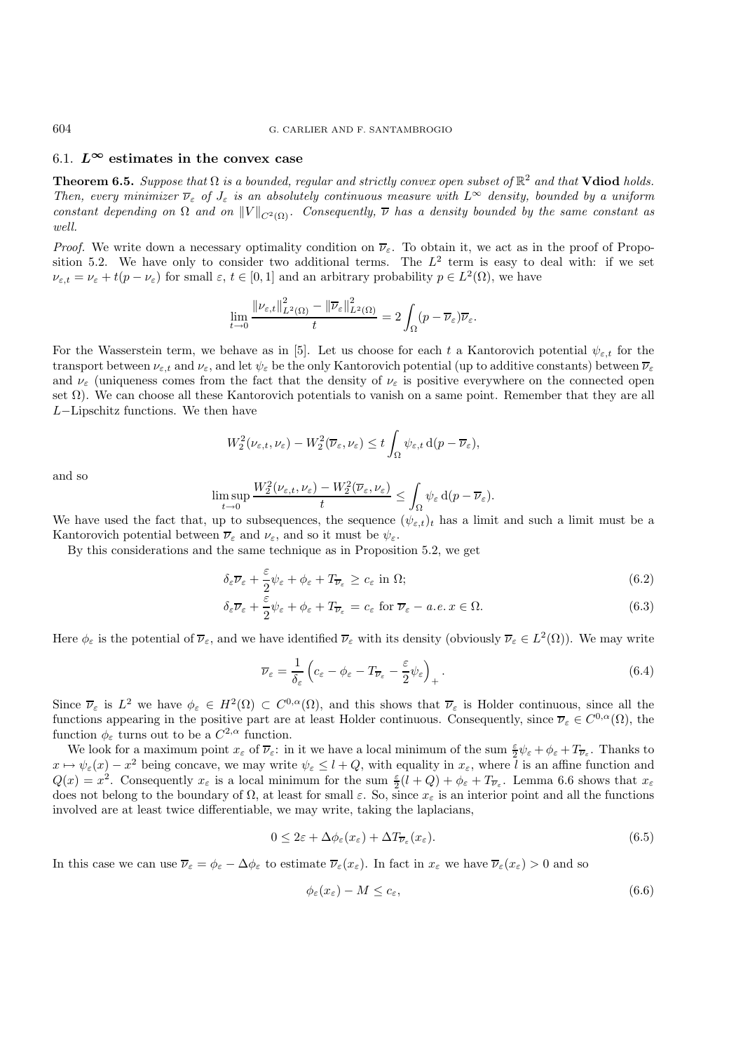## 6.1.  $L^\infty$  estimates in the convex case

**Theorem 6.5.** *Suppose that*  $\Omega$  *is a bounded, regular and strictly convex open subset of*  $\mathbb{R}^2$  *and that* **Vdiod** *holds. Then, every minimizer*  $\overline{\nu}_{\varepsilon}$  *of*  $J_{\varepsilon}$  *is an absolutely continuous measure with*  $L^{\infty}$  *density, bounded by a uniform constant depending on*  $\Omega$  *and on*  $||V||_{C^2(\Omega)}$ *. Consequently,*  $\overline{\nu}$  *has a density bounded by the same constant as well.*

*Proof.* We write down a necessary optimality condition on  $\overline{\nu}_{\varepsilon}$ . To obtain it, we act as in the proof of Proposition 5.2. We have only to consider two additional terms. The  $L^2$  term is easy to deal with: if we set  $\nu_{\varepsilon,t} = \nu_{\varepsilon} + t(p - \nu_{\varepsilon})$  for small  $\varepsilon, t \in [0, 1]$  and an arbitrary probability  $p \in L^2(\Omega)$ , we have

$$
\lim_{t \to 0} \frac{\|\nu_{\varepsilon,t}\|_{L^2(\Omega)}^2 - \|\overline{\nu}_{\varepsilon}\|_{L^2(\Omega)}^2}{t} = 2 \int_{\Omega} (p - \overline{\nu}_{\varepsilon}) \overline{\nu}_{\varepsilon}.
$$

For the Wasserstein term, we behave as in [5]. Let us choose for each t a Kantorovich potential  $\psi_{\varepsilon,t}$  for the transport between  $\nu_{\varepsilon,t}$  and  $\nu_{\varepsilon}$ , and let  $\psi_{\varepsilon}$  be the only Kantorovich potential (up to additive constants) between  $\overline{\nu}_{\varepsilon}$ and  $\nu_{\varepsilon}$  (uniqueness comes from the fact that the density of  $\nu_{\varepsilon}$  is positive everywhere on the connected open set Ω). We can choose all these Kantorovich potentials to vanish on a same point. Remember that they are all L−Lipschitz functions. We then have

$$
W_2^2(\nu_{\varepsilon,t},\nu_{\varepsilon}) - W_2^2(\overline{\nu}_{\varepsilon},\nu_{\varepsilon}) \le t \int_{\Omega} \psi_{\varepsilon,t} d(p - \overline{\nu}_{\varepsilon}),
$$

and so

$$
\limsup_{t \to 0} \frac{W_2^2(\nu_{\varepsilon,t}, \nu_{\varepsilon}) - W_2^2(\overline{\nu}_{\varepsilon}, \nu_{\varepsilon})}{t} \le \int_{\Omega} \psi_{\varepsilon} d(p - \overline{\nu}_{\varepsilon}).
$$

We have used the fact that, up to subsequences, the sequence  $(\psi_{\varepsilon,t})_t$  has a limit and such a limit must be a<br>Kantanavich actorial between  $\overline{\mathbf{v}}$  and  $\mathbf{v}$  and so it must be the subsequence Kantorovich potential between  $\overline{\nu}_{\varepsilon}$  and  $\nu_{\varepsilon}$ , and so it must be  $\psi_{\varepsilon}$ .

By this considerations and the same technique as in Proposition 5.2, we get

$$
\delta_{\varepsilon}\overline{\nu}_{\varepsilon} + \frac{\varepsilon}{2}\psi_{\varepsilon} + \phi_{\varepsilon} + T_{\overline{\nu}_{\varepsilon}} \ge c_{\varepsilon} \text{ in } \Omega; \tag{6.2}
$$

$$
\delta_{\varepsilon}\overline{\nu}_{\varepsilon} + \frac{\varepsilon}{2}\psi_{\varepsilon} + \phi_{\varepsilon} + T_{\overline{\nu}_{\varepsilon}} = c_{\varepsilon} \text{ for } \overline{\nu}_{\varepsilon} - a.e. x \in \Omega.
$$
 (6.3)

Here  $\phi_{\varepsilon}$  is the potential of  $\overline{\nu}_{\varepsilon}$ , and we have identified  $\overline{\nu}_{\varepsilon}$  with its density (obviously  $\overline{\nu}_{\varepsilon} \in L^2(\Omega)$ ). We may write

$$
\overline{\nu}_{\varepsilon} = \frac{1}{\delta_{\varepsilon}} \left( c_{\varepsilon} - \phi_{\varepsilon} - T_{\overline{\nu}_{\varepsilon}} - \frac{\varepsilon}{2} \psi_{\varepsilon} \right)_{+} . \tag{6.4}
$$

Since  $\overline{\nu}_{\varepsilon}$  is  $L^2$  we have  $\phi_{\varepsilon} \in H^2(\Omega) \subset C^{0,\alpha}(\Omega)$ , and this shows that  $\overline{\nu}_{\varepsilon}$  is Holder continuous, since all the functions appearing in the positive part are at least Holder continuous. Consequently, since  $\overline{\nu}_{\varepsilon} \in C^{0,\alpha}(\Omega)$ , the function  $\phi_{\varepsilon}$  turns out to be a  $C^{2,\alpha}$  function.

We look for a maximum point  $x_{\varepsilon}$  of  $\overline{\nu}_{\varepsilon}$ : in it we have a local minimum of the sum  $\frac{\varepsilon}{2}\psi_{\varepsilon} + \phi_{\varepsilon} + T_{\overline{\nu}_{\varepsilon}}$ . Thanks to  $x \mapsto \psi_{\varepsilon}(x) - x^2$  being concave, we may write  $\psi_{\varepsilon} \leq l + Q$ , with equality in  $x_{\varepsilon}$ , where l is an affine function and  $Q(x)$ ,  $x^2$ , Consequently,  $x_{\varepsilon}$  is a local minimum for the gum  $\xi(l + Q) + \xi_{\varepsilon} + T$ . Le  $Q(x) = x^2$ . Consequently  $x_{\varepsilon}$  is a local minimum for the sum  $\frac{\varepsilon}{2}(l+Q) + \phi_{\varepsilon} + T_{\overline{\nu}_{\varepsilon}}$ . Lemma 6.6 shows that  $x_{\varepsilon}$ does not belong to the boundary of  $\Omega$ , at least for small  $\varepsilon$ . So, since  $x_{\varepsilon}$  is an interior point and all the functions involved are at least twice differentiable, we may write, taking the laplacians,

$$
0 \le 2\varepsilon + \Delta \phi_{\varepsilon}(x_{\varepsilon}) + \Delta T_{\overline{\nu}_{\varepsilon}}(x_{\varepsilon}). \tag{6.5}
$$

In this case we can use  $\overline{\nu}_{\varepsilon} = \phi_{\varepsilon} - \Delta \phi_{\varepsilon}$  to estimate  $\overline{\nu}_{\varepsilon}(x_{\varepsilon})$ . In fact in  $x_{\varepsilon}$  we have  $\overline{\nu}_{\varepsilon}(x_{\varepsilon}) > 0$  and so

$$
\phi_{\varepsilon}(x_{\varepsilon}) - M \leq c_{\varepsilon},\tag{6.6}
$$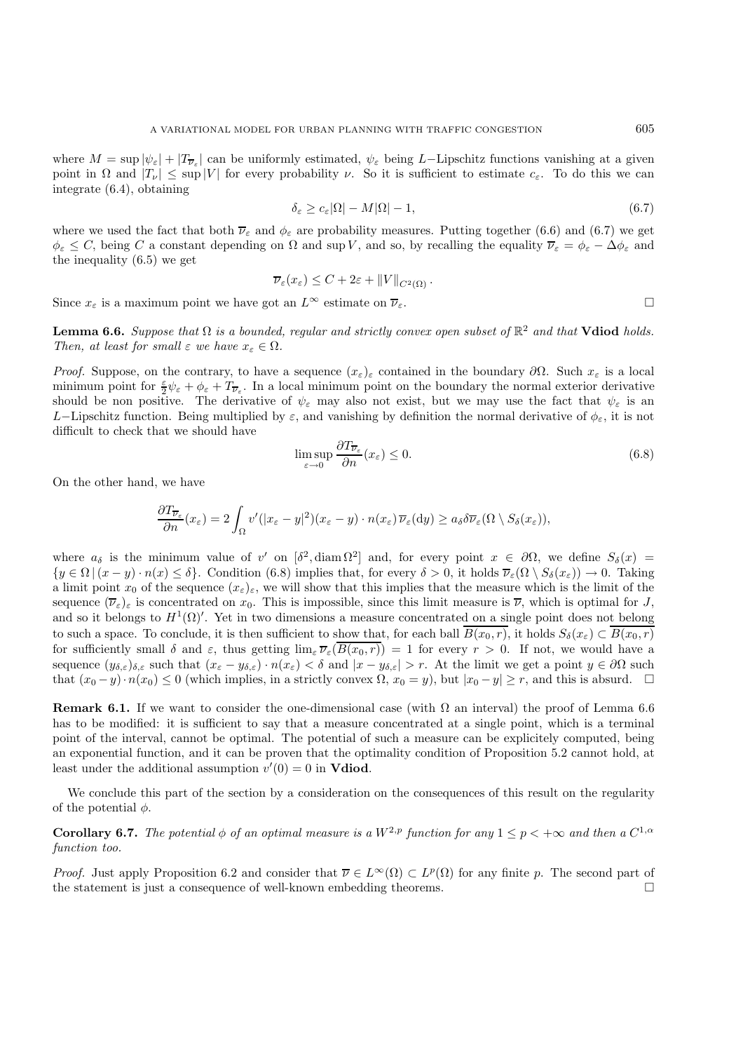where  $M = \sup |\psi_{\varepsilon}| + |T_{\overline{\nu}_{\varepsilon}}|$  can be uniformly estimated,  $\psi_{\varepsilon}$  being L-Lipschitz functions vanishing at a given point in  $\Omega$  and  $|T_{\nu}| \leq \sup |V|$  for every probability  $\nu$ . So it is sufficient to estimate  $c_{\varepsilon}$ . To do this we can integrate (6.4), obtaining

$$
\delta_{\varepsilon} \ge c_{\varepsilon} |\Omega| - M |\Omega| - 1, \tag{6.7}
$$

where we used the fact that both  $\overline{\nu}_{\varepsilon}$  and  $\phi_{\varepsilon}$  are probability measures. Putting together (6.6) and (6.7) we get  $\phi_{\varepsilon} \leq C$ , being C a constant depending on  $\Omega$  and sup V, and so, by recalling the equality  $\overline{\nu}_{\varepsilon} = \phi_{\varepsilon} - \Delta \phi_{\varepsilon}$  and the inequality (6.5) we get

$$
\overline{\nu}_{\varepsilon}(x_{\varepsilon}) \leq C + 2\varepsilon + \|V\|_{C^{2}(\Omega)}.
$$

Since  $x_{\varepsilon}$  is a maximum point we have got an  $L^{\infty}$  estimate on  $\overline{\nu}_{\varepsilon}$ .

**Lemma 6.6.** *Suppose that*  $\Omega$  *is a bounded, regular and strictly convex open subset of*  $\mathbb{R}^2$  *and that* **Vdiod** *holds. Then, at least for small*  $\varepsilon$  *we have*  $x_{\varepsilon} \in \Omega$ *.* 

*Proof.* Suppose, on the contrary, to have a sequence  $(x_\varepsilon)_\varepsilon$  contained in the boundary  $\partial\Omega$ . Such  $x_\varepsilon$  is a local minimum point for  $\frac{\epsilon}{2}\psi_{\epsilon} + \phi_{\epsilon} + T_{\overline{\nu}_{\epsilon}}$ . In a local minimum point on the boundary the normal exterior derivative<br>should be non-positive. The derivative of the may also not evid, but we may use the feat that th should be non positive. The derivative of  $\psi_{\varepsilon}$  may also not exist, but we may use the fact that  $\psi_{\varepsilon}$  is an L−Lipschitz function. Being multiplied by  $\varepsilon$ , and vanishing by definition the normal derivative of  $\phi_{\varepsilon}$ , it is not difficult to check that we should have

$$
\limsup_{\varepsilon \to 0} \frac{\partial T_{\overline{\nu}_{\varepsilon}}}{\partial n}(x_{\varepsilon}) \le 0.
$$
\n(6.8)

On the other hand, we have

$$
\frac{\partial T_{\overline{\nu}_{\varepsilon}}}{\partial n}(x_{\varepsilon})=2\int_{\Omega}v'(|x_{\varepsilon}-y|^2)(x_{\varepsilon}-y)\cdot n(x_{\varepsilon})\overline{\nu}_{\varepsilon}(\mathrm{d}y)\geq a_{\delta}\delta\overline{\nu}_{\varepsilon}(\Omega\setminus S_{\delta}(x_{\varepsilon})),
$$

where  $a_{\delta}$  is the minimum value of v' on  $[\delta^2, \text{diam}\Omega^2]$  and, for every point  $x \in \partial\Omega$ , we define  $S_{\delta}(x) =$  ${y \in \Omega \mid (x - y) \cdot n(x) \leq \delta}$ . Condition (6.8) implies that, for every  $\delta > 0$ , it holds  $\overline{\nu}_{\varepsilon}(\Omega \setminus S_{\delta}(x_{\varepsilon})) \to 0$ . Taking a limit point  $x_0$  of the sequence  $(x_{\varepsilon})_{\varepsilon}$ , we will show that this implies that the measure which is the limit of the sequence  $(\overline{\nu}_{\varepsilon})_{\varepsilon}$  is concentrated on  $x_0$ . This is impossible, since this limit measure is  $\overline{\nu}$ , which is optimal for J, and so it belongs to  $H^1(\Omega)'$ . Yet in two dimensions a measure concentrated on a single point does not belong to such a space. To conclude, it is then sufficient to show that, for each ball  $\overline{B(x_0, r)}$ , it holds  $S_\delta(x_\varepsilon) \subset \overline{B(x_0, r)}$ for sufficiently small  $\delta$  and  $\varepsilon$ , thus getting  $\lim_{\varepsilon} \overline{\nu}_{\varepsilon}(\overline{B(x_0, r)}) = 1$  for every  $r > 0$ . If not, we would have a sequence  $(y_{\delta,\varepsilon})_{\delta,\varepsilon}$  such that  $(x_{\varepsilon} - y_{\delta,\varepsilon}) \cdot n(x_{\varepsilon}) < \delta$  and  $|x - y_{\delta,\varepsilon}| > r$ . At the limit we get a point  $y \in \partial\Omega$  such that  $(x_0 - y) \cdot n(x_0) \le 0$  (which implies, in a strictly convex  $\Omega$ ,  $x_0 = y$ ), but  $|x_0 - y| \ge r$ , and this is absurd.  $\Box$ 

**Remark 6.1.** If we want to consider the one-dimensional case (with  $\Omega$  an interval) the proof of Lemma 6.6 has to be modified: it is sufficient to say that a measure concentrated at a single point, which is a terminal point of the interval, cannot be optimal. The potential of such a measure can be explicitely computed, being an exponential function, and it can be proven that the optimality condition of Proposition 5.2 cannot hold, at least under the additional assumption  $v'(0) = 0$  in **Vdiod**.

We conclude this part of the section by a consideration on the consequences of this result on the regularity of the potential  $\phi$ .

**Corollary 6.7.** *The potential*  $\phi$  *of an optimal measure is a*  $W^{2,p}$  *function for any*  $1 \leq p < +\infty$  *and then a*  $C^{1,\alpha}$ *function too.*

*Proof.* Just apply Proposition 6.2 and consider that  $\overline{\nu} \in L^{\infty}(\Omega) \subset L^{p}(\Omega)$  for any finite p. The second part of the statement is just a consequence of well-known embedding theorems.  $\Box$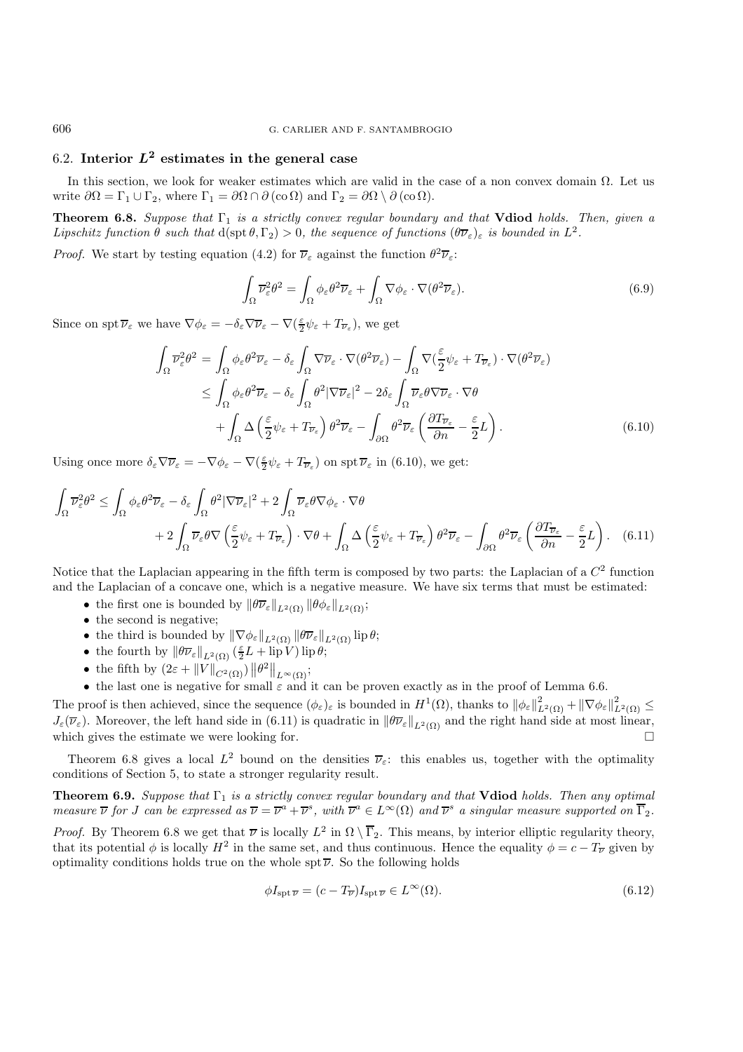## 6.2. **Interior**  $L^2$  estimates in the general case

In this section, we look for weaker estimates which are valid in the case of a non convex domain  $\Omega$ . Let us write  $\partial\Omega = \Gamma_1 \cup \Gamma_2$ , where  $\Gamma_1 = \partial\Omega \cap \partial(\mathbf{co}\Omega)$  and  $\Gamma_2 = \partial\Omega \setminus \partial(\mathbf{co}\Omega)$ .

**Theorem 6.8.** *Suppose that* Γ<sub>1</sub> *is a strictly convex regular boundary and that* **Vdiod** *holds. Then, given a Lipschitz function*  $\theta$  *such that*  $d(\text{spt } \theta, \Gamma_2) > 0$ *, the sequence of functions*  $(\theta \overline{\nu}_{\varepsilon})_{\varepsilon}$  *is bounded in*  $L^2$ *.* 

*Proof.* We start by testing equation (4.2) for  $\overline{\nu}_{\varepsilon}$  against the function  $\theta^2 \overline{\nu}_{\varepsilon}$ :

$$
\int_{\Omega} \overline{\nu}_{\varepsilon}^2 \theta^2 = \int_{\Omega} \phi_{\varepsilon} \theta^2 \overline{\nu}_{\varepsilon} + \int_{\Omega} \nabla \phi_{\varepsilon} \cdot \nabla (\theta^2 \overline{\nu}_{\varepsilon}).
$$
\n(6.9)

Since on spt  $\overline{\nu}_{\varepsilon}$  we have  $\nabla \phi_{\varepsilon} = -\delta_{\varepsilon} \nabla \overline{\nu}_{\varepsilon} - \nabla (\frac{\varepsilon}{2} \psi_{\varepsilon} + T_{\overline{\nu}_{\varepsilon}})$ , we get

$$
\int_{\Omega} \overline{\nu}_{\varepsilon}^{2} \theta^{2} = \int_{\Omega} \phi_{\varepsilon} \theta^{2} \overline{\nu}_{\varepsilon} - \delta_{\varepsilon} \int_{\Omega} \nabla \overline{\nu}_{\varepsilon} \cdot \nabla (\theta^{2} \overline{\nu}_{\varepsilon}) - \int_{\Omega} \nabla (\frac{\varepsilon}{2} \psi_{\varepsilon} + T_{\overline{\nu}_{\varepsilon}}) \cdot \nabla (\theta^{2} \overline{\nu}_{\varepsilon})
$$
\n
$$
\leq \int_{\Omega} \phi_{\varepsilon} \theta^{2} \overline{\nu}_{\varepsilon} - \delta_{\varepsilon} \int_{\Omega} \theta^{2} |\nabla \overline{\nu}_{\varepsilon}|^{2} - 2\delta_{\varepsilon} \int_{\Omega} \overline{\nu}_{\varepsilon} \theta \nabla \overline{\nu}_{\varepsilon} \cdot \nabla \theta
$$
\n
$$
+ \int_{\Omega} \Delta \left( \frac{\varepsilon}{2} \psi_{\varepsilon} + T_{\overline{\nu}_{\varepsilon}} \right) \theta^{2} \overline{\nu}_{\varepsilon} - \int_{\partial \Omega} \theta^{2} \overline{\nu}_{\varepsilon} \left( \frac{\partial T_{\overline{\nu}_{\varepsilon}}}{\partial n} - \frac{\varepsilon}{2} L \right). \tag{6.10}
$$

Using once more  $\delta_{\varepsilon} \nabla \overline{\nu}_{\varepsilon} = -\nabla \phi_{\varepsilon} - \nabla (\frac{\varepsilon}{2} \psi_{\varepsilon} + T_{\overline{\nu}_{\varepsilon}})$  on spt  $\overline{\nu}_{\varepsilon}$  in (6.10), we get:

$$
\int_{\Omega} \overline{\nu}_{\varepsilon}^{2} \theta^{2} \leq \int_{\Omega} \phi_{\varepsilon} \theta^{2} \overline{\nu}_{\varepsilon} - \delta_{\varepsilon} \int_{\Omega} \theta^{2} |\nabla \overline{\nu}_{\varepsilon}|^{2} + 2 \int_{\Omega} \overline{\nu}_{\varepsilon} \theta \nabla \phi_{\varepsilon} \cdot \nabla \theta \n+ 2 \int_{\Omega} \overline{\nu}_{\varepsilon} \theta \nabla \left( \frac{\varepsilon}{2} \psi_{\varepsilon} + T_{\overline{\nu}_{\varepsilon}} \right) \cdot \nabla \theta + \int_{\Omega} \Delta \left( \frac{\varepsilon}{2} \psi_{\varepsilon} + T_{\overline{\nu}_{\varepsilon}} \right) \theta^{2} \overline{\nu}_{\varepsilon} - \int_{\partial \Omega} \theta^{2} \overline{\nu}_{\varepsilon} \left( \frac{\partial T_{\overline{\nu}_{\varepsilon}}}{\partial n} - \frac{\varepsilon}{2} L \right). \tag{6.11}
$$

Notice that the Laplacian appearing in the fifth term is composed by two parts: the Laplacian of a  $C<sup>2</sup>$  function and the Laplacian of a concave one, which is a negative measure. We have six terms that must be estimated:

- the first one is bounded by  $\|\theta \overline{\nu}_{\varepsilon}\|_{L^2(\Omega)} \|\theta \phi_{\varepsilon}\|_{L^2(\Omega)}$ ;
- the second is negative;
- the third is bounded by  $\|\nabla \phi_{\varepsilon}\|_{L^2(\Omega)} \|\theta \overline{\nu}_{\varepsilon}\|_{L^2(\Omega)} \operatorname{lip} \theta;$
- the fourth by  $\|\theta \overline{\nu}_{\varepsilon}\|_{L^2(\Omega)} \left(\frac{\varepsilon}{2} L + \text{lip } V\right) \text{lip }\theta;$
- 
- the fifth by  $(2\varepsilon + ||V||_{C^2(\Omega)}) ||\theta^2||_{L^{\infty}(\Omega)}$ ;<br>• the last one is negative for small  $\varepsilon$  and it can be proven exactly as in the proof of Lemma 6.6.

The proof is then achieved, since the sequence  $(\phi_{\varepsilon})_{\varepsilon}$  is bounded in  $H^1(\Omega)$ , thanks to  $\|\phi_{\varepsilon}\|_{L^2(\Omega)}^2 + \|\nabla \phi_{\varepsilon}\|_{L^2(\Omega)}^2 \leq$ <br> $L(\overline{\Omega})$ . Moreover, the left hand side in (6.11) is supplying in  $\|\overline{\Omega}\$  $J_{\varepsilon}(\overline{\nu}_{\varepsilon})$ . Moreover, the left hand side in (6.11) is quadratic in  $\|\theta \overline{\nu}_{\varepsilon}\|_{L^2(\Omega)}$  and the right hand side at most linear, which gives the estimate we were looking for. which gives the estimate we were looking for.

Theorem 6.8 gives a local  $L^2$  bound on the densities  $\overline{\nu}_{\varepsilon}$ : this enables us, together with the optimality conditions of Section 5, to state a stronger regularity result.

**Theorem 6.9.** *Suppose that* Γ<sub>1</sub> *is a strictly convex regular boundary and that* **Vdiod** *holds. Then any optimal measure*  $\overline{\nu}$  *for J can be expressed as*  $\overline{\nu} = \overline{\nu}^a + \overline{\nu}^s$ *, with*  $\overline{\nu}^a \in L^{\infty}(\Omega)$  *and*  $\overline{\nu}^s$  *a singular measure supported on*  $\overline{\Gamma}_2$ *.* 

*Proof.* By Theorem 6.8 we get that  $\overline{\nu}$  is locally  $L^2$  in  $\Omega \setminus \overline{\Gamma}_2$ . This means, by interior elliptic regularity theory, that its potential  $\phi$  is locally  $H^2$  in the same set, and thus continuous. Hence the equality  $\phi = c - T_{\overline{\nu}}$  given by optimality conditions holds true on the whole spt  $\overline{\nu}$ . So the following holds

$$
\phi I_{\rm spt}\overline{\nu} = (c - T_{\overline{\nu}})I_{\rm spt}\overline{\nu} \in L^{\infty}(\Omega). \tag{6.12}
$$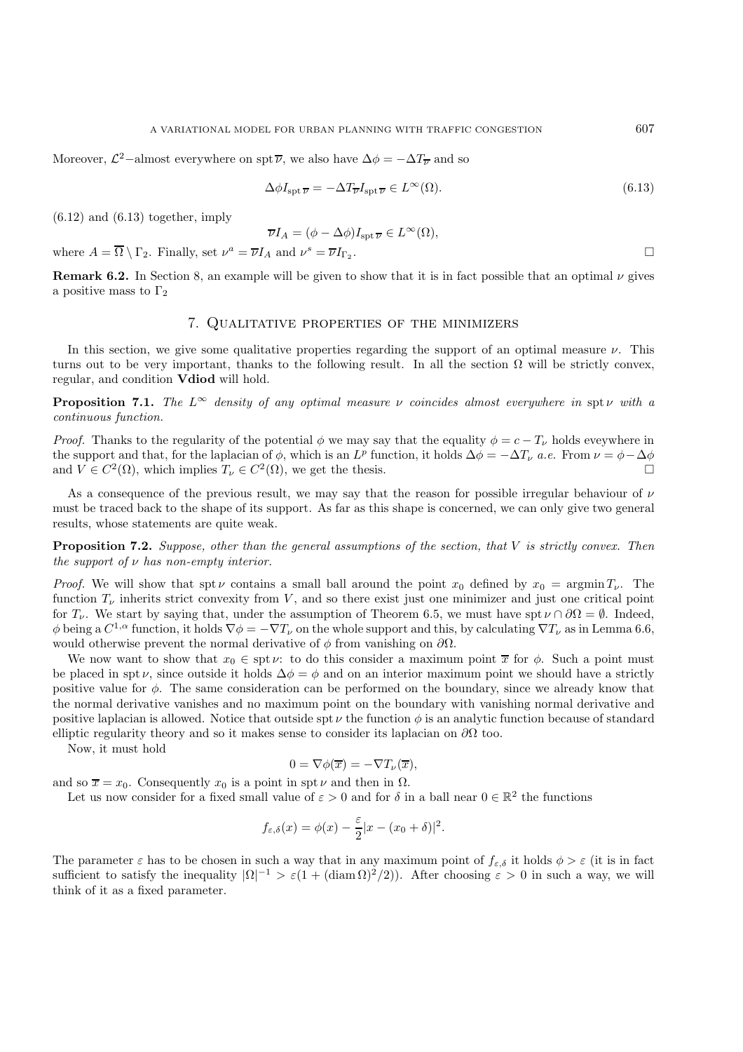Moreover,  $\mathcal{L}^2$ –almost everywhere on spt $\overline{\nu}$ , we also have  $\Delta \phi = -\Delta T_{\overline{\nu}}$  and so

$$
\Delta \phi I_{\rm spt} \overline{\nu} = -\Delta T_{\overline{\nu}} I_{\rm spt} \overline{\nu} \in L^{\infty}(\Omega). \tag{6.13}
$$

 $(6.12)$  and  $(6.13)$  together, imply

$$
\overline{\nu}I_A = (\phi - \Delta \phi)I_{\text{spt}}_{\overline{\nu}} \in L^{\infty}(\Omega),
$$

where  $A = \overline{\Omega} \setminus \Gamma_2$ . Finally, set  $\nu^a = \overline{\nu} I_A$  and  $\nu^s = \overline{\nu} I_{\Gamma_2}$ .

**Remark 6.2.** In Section 8, an example will be given to show that it is in fact possible that an optimal  $\nu$  gives a positive mass to  $\Gamma_2$ 

## 7. Qualitative properties of the minimizers

In this section, we give some qualitative properties regarding the support of an optimal measure  $\nu$ . This turns out to be very important, thanks to the following result. In all the section  $\Omega$  will be strictly convex, regular, and condition **Vdiod** will hold.

**Proposition 7.1.** *The*  $L^\infty$  *density of any optimal measure*  $\nu$  *coincides almost everywhere in* spt  $\nu$  *with* a *continuous function.*

*Proof.* Thanks to the regularity of the potential  $\phi$  we may say that the equality  $\phi = c - T_{\nu}$  holds eveywhere in the support and that, for the laplacian of  $\phi$ , which is an  $L^p$  function, it holds  $\Delta \phi = -\Delta T_\nu$  *a.e.* From  $\nu = \phi - \Delta \phi$  and  $V \in C^2(\Omega)$  which implies  $T_v \in C^2(\Omega)$  we get the thesis and  $V \in C^2(\Omega)$ , which implies  $T_{\nu} \in C^2(\Omega)$ , we get the thesis.

As a consequence of the previous result, we may say that the reason for possible irregular behaviour of  $\nu$ must be traced back to the shape of its support. As far as this shape is concerned, we can only give two general results, whose statements are quite weak.

**Proposition 7.2.** *Suppose, other than the general assumptions of the section, that* V *is strictly convex. Then the support of* ν *has non-empty interior.*

*Proof.* We will show that spt v contains a small ball around the point  $x_0$  defined by  $x_0 = \operatorname{argmin} T_{\nu}$ . The function  $T_{\nu}$  inherits strict convexity from V, and so there exist just one minimizer and just one critical point for  $T_{\nu}$ . We start by saying that, under the assumption of Theorem 6.5, we must have spt  $\nu \cap \partial \Omega = \emptyset$ . Indeed, φ being a  $C^{1,\alpha}$  function, it holds  $\nabla \phi = -\nabla T_\nu$  on the whole support and this, by calculating  $\nabla T_\nu$  as in Lemma 6.6, would otherwise prevent the normal derivative of  $\phi$  from vanishing on  $\partial\Omega$ .

We now want to show that  $x_0 \in \text{spt } \nu$ : to do this consider a maximum point  $\overline{x}$  for  $\phi$ . Such a point must be placed in spt v, since outside it holds  $\Delta \phi = \phi$  and on an interior maximum point we should have a strictly positive value for  $\phi$ . The same consideration can be performed on the boundary, since we already know that the normal derivative vanishes and no maximum point on the boundary with vanishing normal derivative and positive laplacian is allowed. Notice that outside spt  $\nu$  the function  $\phi$  is an analytic function because of standard elliptic regularity theory and so it makes sense to consider its laplacian on  $\partial\Omega$  too.

Now, it must hold

$$
0 = \nabla \phi(\overline{x}) = -\nabla T_{\nu}(\overline{x}),
$$

and so  $\overline{x} = x_0$ . Consequently  $x_0$  is a point in spt  $\nu$  and then in  $\Omega$ .

Let us now consider for a fixed small value of  $\varepsilon > 0$  and for  $\delta$  in a ball near  $0 \in \mathbb{R}^2$  the functions

$$
f_{\varepsilon,\delta}(x) = \phi(x) - \frac{\varepsilon}{2}|x - (x_0 + \delta)|^2.
$$

The parameter  $\varepsilon$  has to be chosen in such a way that in any maximum point of  $f_{\varepsilon,\delta}$  it holds  $\phi > \varepsilon$  (it is in fact sufficient to satisfy the inequality  $|\Omega|^{-1} > \varepsilon (1 + (\text{diam }\Omega)^2/2)$ . After choosing  $\varepsilon > 0$  in such a way, we will think of it as a fixed parameter.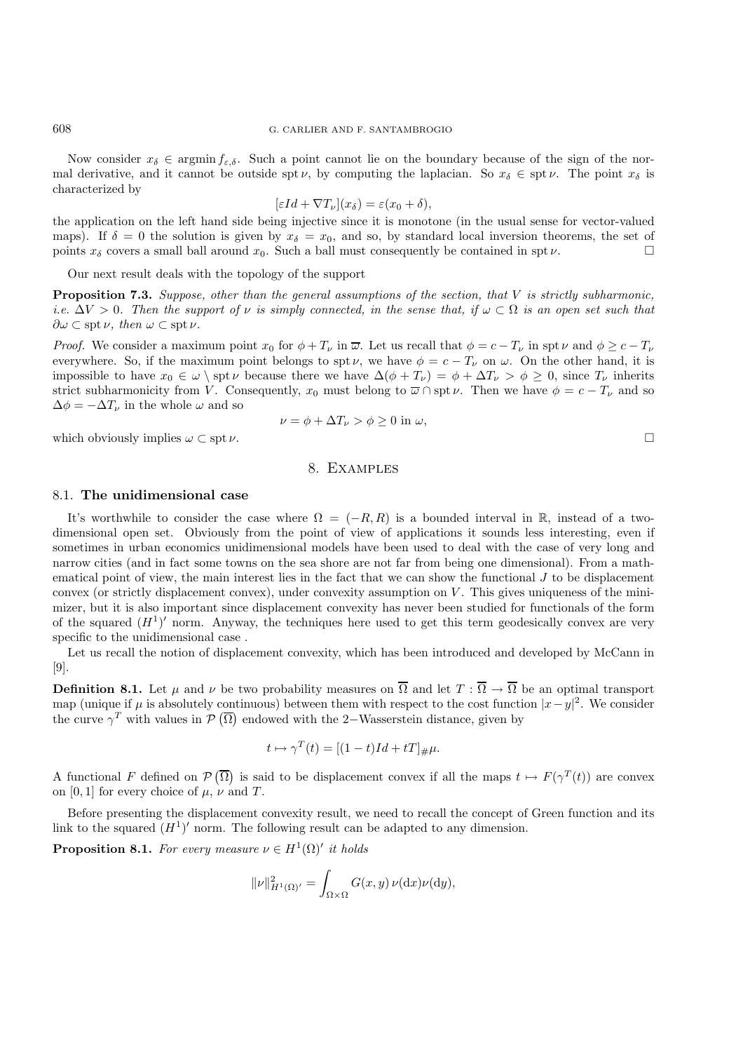Now consider  $x_{\delta} \in \operatorname{argmin} f_{\varepsilon,\delta}$ . Such a point cannot lie on the boundary because of the sign of the normal derivative, and it cannot be outside spt  $\nu$ , by computing the laplacian. So  $x_{\delta} \in \text{spt } \nu$ . The point  $x_{\delta}$  is characterized by

$$
[\varepsilon Id + \nabla T_{\nu}](x_{\delta}) = \varepsilon (x_0 + \delta),
$$

 $[\varepsilon Id + \nabla T_{\nu}](x_{\delta}) = \varepsilon (x_0 + \delta),$ <br>the application on the left hand side being injective since it is monotone (in the usual sense for vector-valued maps). If  $\delta = 0$  the solution is given by  $x_{\delta} = x_0$ , and so, by standard local inversion theorems, the set of points  $x_{\delta}$  covers a small ball around  $x_0$ . Such a ball must consequently be contained in spt  $\nu$ . points  $x_{\delta}$  covers a small ball around  $x_0$ . Such a ball must consequently be contained in spt  $\nu$ .

Our next result deals with the topology of the support

**Proposition 7.3.** *Suppose, other than the general assumptions of the section, that* V *is strictly subharmonic, i.e.*  $\Delta V > 0$ . Then the support of v is simply connected, in the sense that, if  $\omega \subset \Omega$  is an open set such that  $\partial \omega \subset \operatorname{spt} \nu$ , then  $\omega \subset \operatorname{spt} \nu$ .

*Proof.* We consider a maximum point  $x_0$  for  $\phi + T_\nu$  in  $\overline{\omega}$ . Let us recall that  $\phi = c - T_\nu$  in spt  $\nu$  and  $\phi \geq c - T_\nu$ everywhere. So, if the maximum point belongs to spt  $\nu$ , we have  $\phi = c - T_{\nu}$  on  $\omega$ . On the other hand, it is impossible to have  $x_0 \in \omega \setminus \text{spt } \nu$  because there we have  $\Delta(\phi + T_{\nu}) = \phi + \Delta T_{\nu} > \phi \geq 0$ , since  $T_{\nu}$  inherits strict subharmonicity from V. Consequently,  $x_0$  must belong to  $\overline{\omega} \cap \operatorname{spt} \nu$ . Then we have  $\phi = c - T_{\nu}$  and so  $\Delta \phi = -\Delta T_{\nu}$  in the whole  $\omega$  and so

$$
\nu = \phi + \Delta T_{\nu} > \phi \ge 0 \text{ in } \omega,
$$

which obviously implies  $\omega \subset \operatorname{spt} \nu$ .

#### 8. Examples

#### 8.1. **The unidimensional case**

It's worthwhile to consider the case where  $\Omega = (-R, R)$  is a bounded interval in R, instead of a twodimensional open set. Obviously from the point of view of applications it sounds less interesting, even if sometimes in urban economics unidimensional models have been used to deal with the case of very long and narrow cities (and in fact some towns on the sea shore are not far from being one dimensional). From a mathematical point of view, the main interest lies in the fact that we can show the functional  $J$  to be displacement convex (or strictly displacement convex), under convexity assumption on  $V$ . This gives uniqueness of the minimizer, but it is also important since displacement convexity has never been studied for functionals of the form of the squared  $(H<sup>1</sup>)'$  norm. Anyway, the techniques here used to get this term geodesically convex are very specific to the unidimensional case .

Let us recall the notion of displacement convexity, which has been introduced and developed by McCann in [9].

**Definition 8.1.** Let  $\mu$  and  $\nu$  be two probability measures on  $\overline{\Omega}$  and let  $T : \overline{\Omega} \to \overline{\Omega}$  be an optimal transport map (unique if  $\mu$  is absolutely continuous) between them with respect to the cost function  $|x-y|^2$ . We consider the curve  $\gamma^T$  with values in  $\mathcal{P}(\overline{\Omega})$  endowed with the 2–Wasserstein distance, given by

$$
t \mapsto \gamma^T(t) = [(1-t)Id + tT]_{\#}\mu.
$$

A functional F defined on  $P(\overline{\Omega})$  is said to be displacement convex if all the maps  $t \mapsto F(\gamma^T(t))$  are convex on [0, 1] for every choice of  $\mu$ ,  $\nu$  and T.

Before presenting the displacement convexity result, we need to recall the concept of Green function and its link to the squared  $(H<sup>1</sup>)'$  norm. The following result can be adapted to any dimension.

**Proposition 8.1.** For every measure  $\nu \in H^1(\Omega)'$  it holds

$$
\|\nu\|_{H^1(\Omega)'}^2 = \int_{\Omega \times \Omega} G(x, y) \, \nu(\mathrm{d}x) \nu(\mathrm{d}y),
$$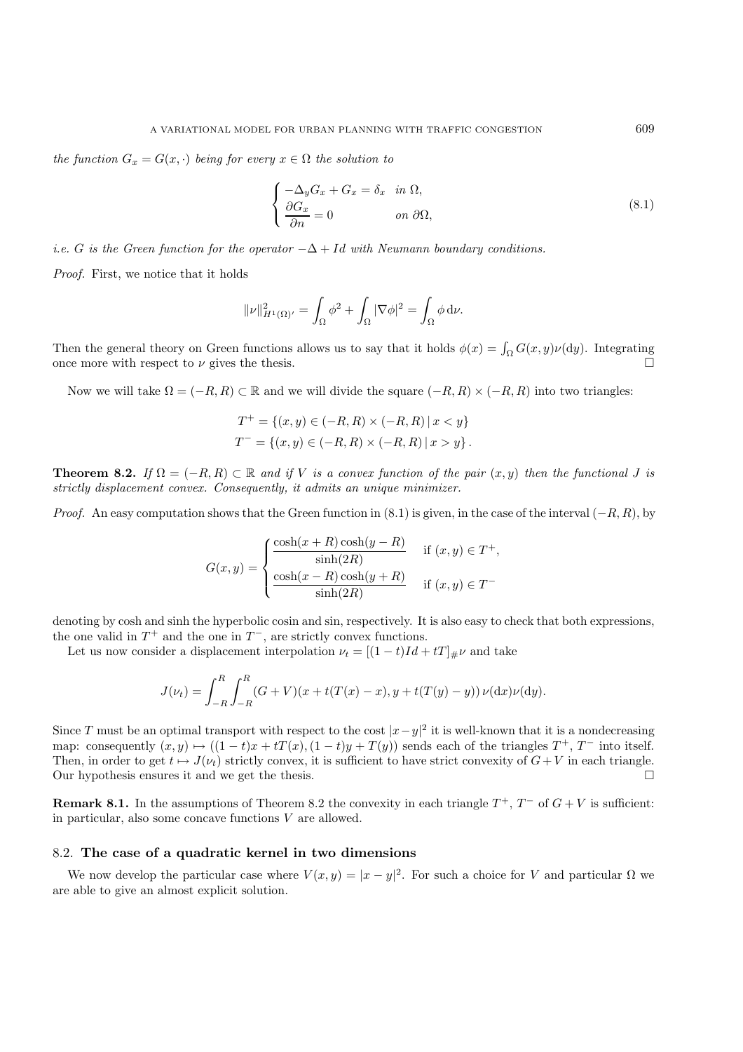*the function*  $G_x = G(x, \cdot)$  *being for every*  $x \in \Omega$  *the solution to* 

$$
\begin{cases}\n-\Delta_y G_x + G_x = \delta_x & \text{in } \Omega, \\
\frac{\partial G_x}{\partial n} = 0 & \text{on } \partial \Omega,\n\end{cases}
$$
\n(8.1)

*i.e.* G *is the Green function for the operator*  $-\Delta + Id$  *with Neumann boundary conditions.* 

*Proof.* First, we notice that it holds

$$
\|\nu\|_{H^1(\Omega)'}^2 = \int_{\Omega} \phi^2 + \int_{\Omega} |\nabla \phi|^2 = \int_{\Omega} \phi \, \mathrm{d}\nu.
$$

Then the general theory on Green functions allows us to say that it holds  $\phi(x) = \int_{\Omega} G(x, y) \nu(dy)$ . Integrating once more with respect to  $\nu$  gives the thesis.

Now we will take  $\Omega = (-R, R) \subset \mathbb{R}$  and we will divide the square  $(-R, R) \times (-R, R)$  into two triangles:

$$
T^{+} = \{(x, y) \in (-R, R) \times (-R, R) | x < y \}
$$
  

$$
T^{-} = \{(x, y) \in (-R, R) \times (-R, R) | x > y \}.
$$

**Theorem 8.2.** *If*  $\Omega = (-R, R) \subset \mathbb{R}$  *and if V is a convex function of the pair*  $(x, y)$  *then the functional J is strictly displacement convex. Consequently, it admits an unique minimizer.*

*Proof.* An easy computation shows that the Green function in  $(8.1)$  is given, in the case of the interval  $(-R, R)$ , by

$$
G(x,y) = \begin{cases} \frac{\cosh(x+R)\cosh(y-R)}{\sinh(2R)} & \text{if } (x,y) \in T^+, \\ \frac{\cosh(x-R)\cosh(y+R)}{\sinh(2R)} & \text{if } (x,y) \in T^- \end{cases}
$$

denoting by cosh and sinh the hyperbolic cosin and sin, respectively. It is also easy to check that both expressions, the one valid in  $T^+$  and the one in  $T^-$ , are strictly convex functions.

Let us now consider a displacement interpolation  $\nu_t = [(1-t)Id + tT]_{\#}\nu$  and take

$$
J(\nu_t) = \int_{-R}^{R} \int_{-R}^{R} (G + V)(x + t(T(x) - x), y + t(T(y) - y)) \nu(\mathrm{d}x) \nu(\mathrm{d}y).
$$

Since T must be an optimal transport with respect to the cost  $|x-y|^2$  it is well-known that it is a nondecreasing map: consequently  $(x, y) \mapsto ((1-t)x + tT(x), (1-t)y + T(y))$  sends each of the triangles  $T^+$ ,  $T^-$  into itself. Then, in order to get  $t \mapsto J(\nu_t)$  strictly convex, it is sufficient to have strict convexity of  $G+V$  in each triangle. Our hypothesis ensures it and we get the thesis.

**Remark 8.1.** In the assumptions of Theorem 8.2 the convexity in each triangle  $T^+$ ,  $T^-$  of  $G + V$  is sufficient: in particular, also some concave functions  $V$  are allowed.

## 8.2. **The case of a quadratic kernel in two dimensions**

We now develop the particular case where  $V(x, y) = |x - y|^2$ . For such a choice for V and particular  $\Omega$  we are able to give an almost explicit solution.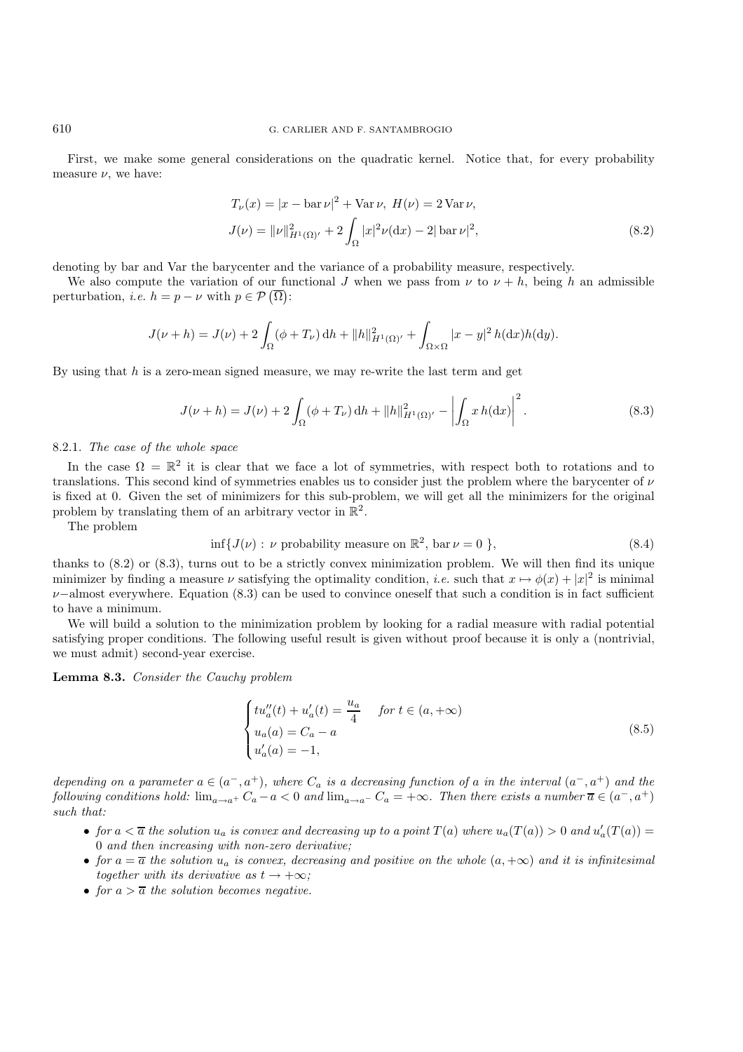First, we make some general considerations on the quadratic kernel. Notice that, for every probability measure  $\nu$ , we have:

$$
T_{\nu}(x) = |x - \text{bar }\nu|^2 + \text{Var }\nu, \ H(\nu) = 2 \text{Var }\nu,
$$
  

$$
J(\nu) = ||\nu||_{H^1(\Omega)'}^2 + 2 \int_{\Omega} |x|^2 \nu(\text{d}x) - 2|\text{bar }\nu|^2,
$$
 (8.2)

denoting by bar and Var the barycenter and the variance of a probability measure, respectively.

We also compute the variation of our functional J when we pass from  $\nu$  to  $\nu + h$ , being h an admissible perturbation, *i.e.*  $h = p - \nu$  with  $p \in \mathcal{P}(\overline{\Omega})$ :

$$
J(\nu + h) = J(\nu) + 2 \int_{\Omega} (\phi + T_{\nu}) \, dh + ||h||_{H^{1}(\Omega)}^{2} + \int_{\Omega \times \Omega} |x - y|^{2} h(\mathrm{d}x) h(\mathrm{d}y).
$$

By using that  $h$  is a zero-mean signed measure, we may re-write the last term and get

$$
J(\nu + h) = J(\nu) + 2\int_{\Omega} (\phi + T_{\nu}) \, dh + ||h||_{H^1(\Omega)'}^2 - \left| \int_{\Omega} x \, h(dx) \right|^2.
$$
 (8.3)

### 8.2.1. *The case of the whole space*

In the case  $\Omega = \mathbb{R}^2$  it is clear that we face a lot of symmetries, with respect both to rotations and to translations. This second kind of symmetries enables us to consider just the problem where the barycenter of  $\nu$ is fixed at 0. Given the set of minimizers for this sub-problem, we will get all the minimizers for the original problem by translating them of an arbitrary vector in  $\mathbb{R}^2$ .

The problem

$$
\inf \{ J(\nu) : \nu \text{ probability measure on } \mathbb{R}^2, \text{ bar } \nu = 0 \},\tag{8.4}
$$

thanks to (8.2) or (8.3), turns out to be a strictly convex minimization problem. We will then find its unique minimizer by finding a measure  $\nu$  satisfying the optimality condition, *i.e.* such that  $x \mapsto \phi(x) + |x|^2$  is minimal  $\nu$ −almost everywhere. Equation (8.3) can be used to convince oneself that such a condition is in fact sufficient to have a minimum.

We will build a solution to the minimization problem by looking for a radial measure with radial potential satisfying proper conditions. The following useful result is given without proof because it is only a (nontrivial, we must admit) second-year exercise.

**Lemma 8.3.** *Consider the Cauchy problem*

$$
\begin{cases}\n t u''_a(t) + u'_a(t) = \frac{u_a}{4} & \text{for } t \in (a, +\infty) \\
 u_a(a) = C_a - a \\
 u'_a(a) = -1,\n\end{cases}
$$
\n(8.5)

*depending on a parameter*  $a \in (a^-, a^+)$ *, where*  $C_a$  *is a decreasing function of* a *in the interval*  $(a^-, a^+)$  *and the following conditions hold:*  $\lim_{a\to a^+} C_a - a < 0$  *and*  $\lim_{a\to a^-} C_a = +\infty$ *. Then there exists a number*  $\overline{a} \in (a^-, a^+)$ *such that:*

- *for*  $a < \overline{a}$  the solution  $u_a$  is convex and decreasing up to a point  $T(a)$  where  $u_a(T(a)) > 0$  and  $u'_a(T(a)) = 0$  and then increasing with non-zero derivative: 0 *and then increasing with non-zero derivative;*
- *for*  $a = \overline{a}$  *the solution*  $u_a$  *is convex, decreasing and positive on the whole*  $(a, +\infty)$  *and it is infinitesimal together with its derivative as*  $t \rightarrow +\infty$ *;*
- *for*  $a > \overline{a}$  *the solution becomes negative.*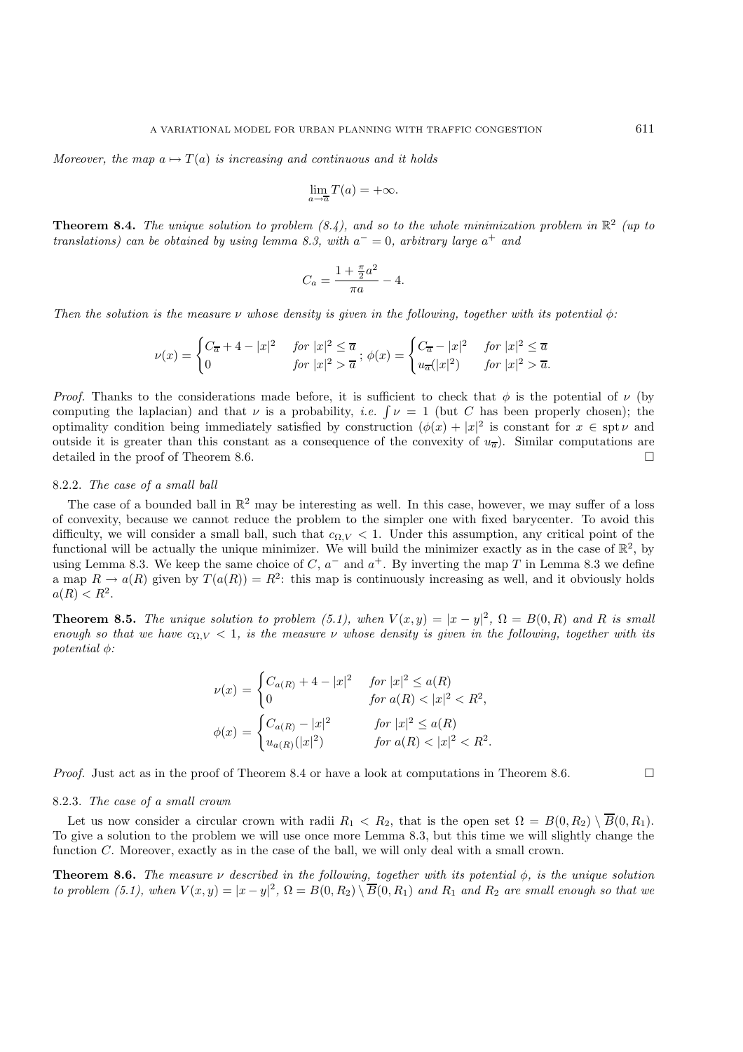*Moreover, the map*  $a \mapsto T(a)$  *is increasing and continuous and it holds* 

$$
\lim_{a \to \overline{a}} T(a) = +\infty.
$$

**Theorem 8.4.** *The unique solution to problem (8.4), and so to the whole minimization problem in*  $\mathbb{R}^2$  *(up to translations) can be obtained by using lemma 8.3, with* a<sup>−</sup> = 0*, arbitrary large* a<sup>+</sup> *and*

$$
C_a = \frac{1 + \frac{\pi}{2}a^2}{\pi a} - 4.
$$

*Then the solution is the measure*  $\nu$  *whose density is given in the following, together with its potential*  $\phi$ :

$$
\nu(x) = \begin{cases} C_{\overline{a}} + 4 - |x|^2 & \text{for } |x|^2 \le \overline{a} \\ 0 & \text{for } |x|^2 > \overline{a} \end{cases}; \ \phi(x) = \begin{cases} C_{\overline{a}} - |x|^2 & \text{for } |x|^2 \le \overline{a} \\ u_{\overline{a}}(|x|^2) & \text{for } |x|^2 > \overline{a}. \end{cases}
$$

*Proof.* Thanks to the considerations made before, it is sufficient to check that  $\phi$  is the potential of  $\nu$  (by computing the laplacian) and that  $\nu$  is a probability, *i.e.*  $\lceil \nu \rceil = 1$  (but C has been properly chosen); the optimality condition being immediately satisfied by construction  $(\phi(x) + |x|^2)$  is constant for  $x \in \text{spt } \nu$  and outside it is greater than this constant as a consequence of the convexity of  $u_{\overline{a}}$ ). Similar computations are detailed in the proof of Theorem 8.6 detailed in the proof of Theorem 8.6.

## 8.2.2. *The case of a small ball*

The case of a bounded ball in  $\mathbb{R}^2$  may be interesting as well. In this case, however, we may suffer of a loss of convexity, because we cannot reduce the problem to the simpler one with fixed barycenter. To avoid this difficulty, we will consider a small ball, such that  $c_{\Omega,V} < 1$ . Under this assumption, any critical point of the functional will be actually the unique minimizer. We will build the minimizer exactly as in the case of  $\mathbb{R}^2$ , by using Lemma 8.3. We keep the same choice of  $C$ ,  $a^-$  and  $a^+$ . By inverting the map T in Lemma 8.3 we define a map  $R \to a(R)$  given by  $T(a(R)) = R^2$ : this map is continuously increasing as well, and it obviously holds  $a(R) < R^2$ .

**Theorem 8.5.** *The unique solution to problem* (5.1), when  $V(x,y) = |x-y|^2$ ,  $\Omega = B(0,R)$  and R is small *enough so that we have*  $c_{\Omega,V} < 1$ , *is the measure*  $\nu$  *whose density is given in the following, together with its potential* φ*:*

$$
\nu(x) = \begin{cases}\nC_{a(R)} + 4 - |x|^2 & \text{for } |x|^2 \le a(R) \\
0 & \text{for } a(R) < |x|^2 < R^2, \\
\phi(x) = \begin{cases}\nC_{a(R)} - |x|^2 & \text{for } |x|^2 \le a(R) \\
u_{a(R)}(|x|^2) & \text{for } a(R) < |x|^2 < R^2.\n\end{cases}
$$

*Proof.* Just act as in the proof of Theorem 8.4 or have a look at computations in Theorem 8.6.

#### 8.2.3. *The case of a small crown*

Let us now consider a circular crown with radii  $R_1 < R_2$ , that is the open set  $\Omega = B(0, R_2) \setminus \overline{B}(0, R_1)$ . To give a solution to the problem we will use once more Lemma 8.3, but this time we will slightly change the function C. Moreover, exactly as in the case of the ball, we will only deal with a small crown.

**Theorem 8.6.** *The measure* ν *described in the following, together with its potential* φ*, is the unique solution to problem (5.1), when*  $V(x,y) = |x-y|^2$ ,  $\Omega = B(0,R_2) \setminus \overline{B}(0,R_1)$  and  $R_1$  and  $R_2$  are small enough so that we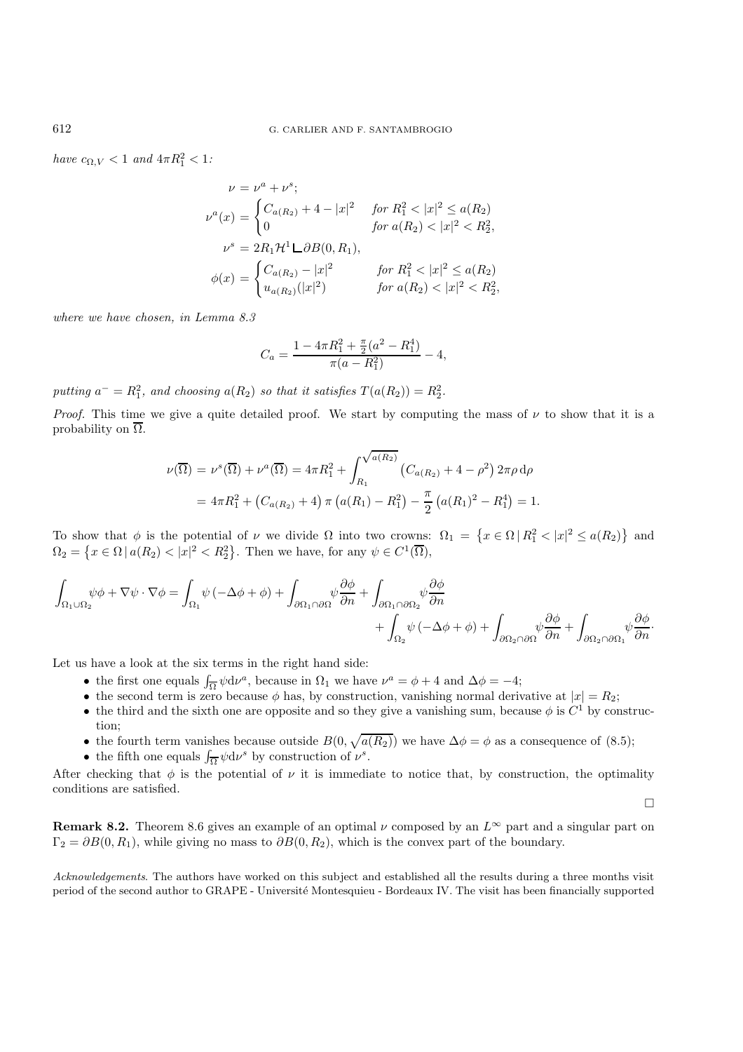*have*  $c_{\Omega,V} < 1$  *and*  $4\pi R_1^2 < 1$ *:* 

$$
\nu = \nu^{a} + \nu^{s};
$$
  
\n
$$
\nu^{a}(x) = \begin{cases}\nC_{a(R_2)} + 4 - |x|^2 & \text{for } R_1^2 < |x|^2 \le a(R_2) \\
0 & \text{for } a(R_2) < |x|^2 < R_2^2, \\
\nu^{s} = 2R_1 \mathcal{H}^1 \mathcal{L} \partial B(0, R_1),\n\end{cases}
$$
  
\n
$$
\phi(x) = \begin{cases}\nC_{a(R_2)} - |x|^2 & \text{for } R_1^2 < |x|^2 \le a(R_2) \\
u_{a(R_2)}(|x|^2) & \text{for } a(R_2) < |x|^2 < R_2^2,\n\end{cases}
$$

*where we have chosen, in Lemma 8.3*

$$
C_a = \frac{1 - 4\pi R_1^2 + \frac{\pi}{2}(a^2 - R_1^4)}{\pi(a - R_1^2)} - 4,
$$

putting  $a^- = R_1^2$ , and choosing  $a(R_2)$  so that it satisfies  $T(a(R_2)) = R_2^2$ .

*Proof.* This time we give a quite detailed proof. We start by computing the mass of  $\nu$  to show that it is a probability on  $\overline{\Omega}$ .

$$
\nu(\overline{\Omega}) = \nu^s(\overline{\Omega}) + \nu^a(\overline{\Omega}) = 4\pi R_1^2 + \int_{R_1}^{\sqrt{a(R_2)}} \left( C_{a(R_2)} + 4 - \rho^2 \right) 2\pi \rho \, d\rho
$$

$$
= 4\pi R_1^2 + \left( C_{a(R_2)} + 4 \right) \pi \left( a(R_1) - R_1^2 \right) - \frac{\pi}{2} \left( a(R_1)^2 - R_1^4 \right) = 1.
$$

To show that  $\phi$  is the potential of  $\nu$  we divide  $\Omega$  into two crowns:  $\Omega_1 = \{x \in \Omega \mid R_1^2 < |x|^2 \leq a(R_2)\}\$ and  $\Omega_2 = \left\{ x \in \Omega \, | \, a(R_2) < |x|^2 < R_2^2 \right\}$ . Then we have, for any  $\psi \in C^1(\overline{\Omega}),$ 

$$
\begin{split} \int_{\Omega_1\cup\Omega_2} & \psi\phi+\nabla\psi\cdot\nabla\phi=\int_{\Omega_1}\psi\left(-\Delta\phi+\phi\right)+\int_{\partial\Omega_1\cap\partial\Omega} & \psi\frac{\partial\phi}{\partial n}+\int_{\partial\Omega_1\cap\partial\Omega_2} & \psi\frac{\partial\phi}{\partial n}\\ &+\int_{\Omega_2}\psi\left(-\Delta\phi+\phi\right)+\int_{\partial\Omega_2\cap\partial\Omega} & \psi\frac{\partial\phi}{\partial n}+\int_{\partial\Omega_2\cap\partial\Omega_1} & \psi\frac{\partial\phi}{\partial n}. \end{split}
$$

Let us have a look at the six terms in the right hand side:

- the first one equals  $\int_{\overline{\Omega}} \psi d\nu^a$ , because in  $\Omega_1$  we have  $\nu^a = \phi + 4$  and  $\Delta \phi = -4$ ;
- the second term is zero because  $\phi$  has, by construction, vanishing normal derivative at  $|x| = R_2$ ;
- the third and the sixth one are opposite and so they give a vanishing sum, because  $\phi$  is  $C^1$  by construction;
- the fourth term vanishes because outside  $B(0, \sqrt{a(R_2)})$  we have  $\Delta \phi = \phi$  as a consequence of (8.5);
- the fifth one equals  $\int_{\overline{\Omega}} \psi \, d\nu^s$  by construction of  $\nu^s$ .

After checking that  $\phi$  is the potential of  $\nu$  it is immediate to notice that, by construction, the optimality conditions are satisfied.

 $\Box$ 

**Remark 8.2.** Theorem 8.6 gives an example of an optimal  $\nu$  composed by an  $L^{\infty}$  part and a singular part on  $\Gamma_2 = \partial B(0, R_1)$ , while giving no mass to  $\partial B(0, R_2)$ , which is the convex part of the boundary.

*Acknowledgements*. The authors have worked on this subject and established all the results during a three months visit period of the second author to GRAPE - Université Montesquieu - Bordeaux IV. The visit has been financially supported